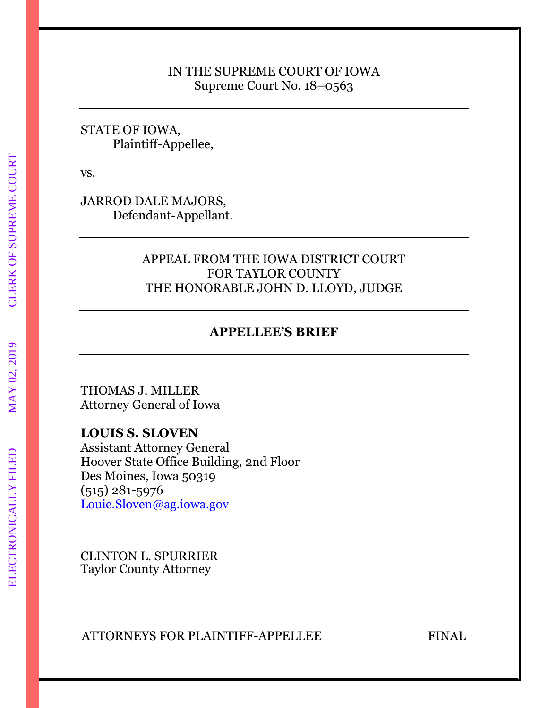## IN THE SUPREME COURT OF IOWA Supreme Court No. 18–0563

### STATE OF IOWA, Plaintiff-Appellee,

vs.

JARROD DALE MAJORS, Defendant-Appellant.

## APPEAL FROM THE IOWA DISTRICT COURT FOR TAYLOR COUNTY THE HONORABLE JOHN D. LLOYD, JUDGE

# **APPELLEE'S BRIEF**

THOMAS J. MILLER Attorney General of Iowa

**LOUIS S. SLOVEN**

Assistant Attorney General Hoover State Office Building, 2nd Floor Des Moines, Iowa 50319 (515) 281-5976 [Louie.Sloven@ag.iowa.gov](mailto:Louie.Sloven@ag.iowa.gov)

CLINTON L. SPURRIER Taylor County Attorney

ATTORNEYS FOR PLAINTIFF-APPELLEE FINAL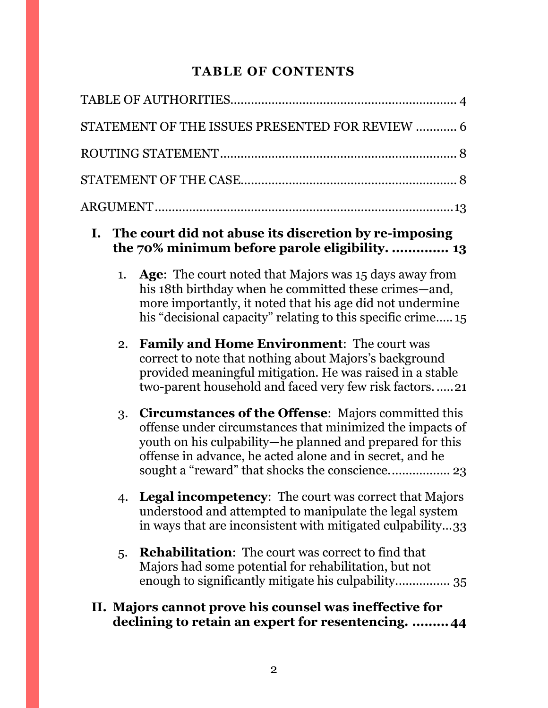# **TABLE OF CONTENTS**

| STATEMENT OF THE ISSUES PRESENTED FOR REVIEW  6                                                                                                                                                                                                        |  |
|--------------------------------------------------------------------------------------------------------------------------------------------------------------------------------------------------------------------------------------------------------|--|
|                                                                                                                                                                                                                                                        |  |
|                                                                                                                                                                                                                                                        |  |
|                                                                                                                                                                                                                                                        |  |
| The court did not abuse its discretion by re-imposing<br>Ι.<br>the 70% minimum before parole eligibility.  13                                                                                                                                          |  |
| Age: The court noted that Majors was 15 days away from<br>1.<br>his 18th birthday when he committed these crimes—and,<br>more importantly, it noted that his age did not undermine<br>his "decisional capacity" relating to this specific crime 15     |  |
| <b>Family and Home Environment:</b> The court was<br>2.<br>correct to note that nothing about Majors's background<br>provided meaningful mitigation. He was raised in a stable<br>two-parent household and faced very few risk factors21               |  |
| <b>Circumstances of the Offense:</b> Majors committed this<br>3.<br>offense under circumstances that minimized the impacts of<br>youth on his culpability—he planned and prepared for this<br>offense in advance, he acted alone and in secret, and he |  |
| 4. Legal incompetency: The court was correct that Majors<br>understood and attempted to manipulate the legal system<br>in ways that are inconsistent with mitigated culpability33                                                                      |  |
| <b>Rehabilitation:</b> The court was correct to find that<br>5.<br>Majors had some potential for rehabilitation, but not<br>enough to significantly mitigate his culpability 35                                                                        |  |
| II. Majors cannot prove his counsel was ineffective for<br>declining to retain an expert for resentencing.  44                                                                                                                                         |  |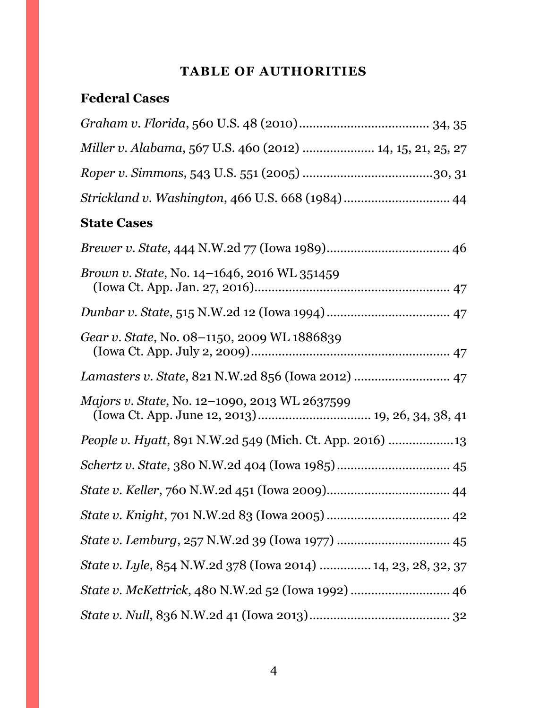# **TABLE OF AUTHORITIES**

# <span id="page-3-0"></span>**Federal Cases**

| Miller v. Alabama, 567 U.S. 460 (2012)  14, 15, 21, 25, 27                                        |
|---------------------------------------------------------------------------------------------------|
|                                                                                                   |
| Strickland v. Washington, 466 U.S. 668 (1984)  44                                                 |
| <b>State Cases</b>                                                                                |
|                                                                                                   |
| Brown v. State, No. 14-1646, 2016 WL 351459                                                       |
|                                                                                                   |
| Gear v. State, No. 08-1150, 2009 WL 1886839                                                       |
|                                                                                                   |
| Majors v. State, No. 12–1090, 2013 WL 2637599<br>(Iowa Ct. App. June 12, 2013) 19, 26, 34, 38, 41 |
| <i>People v. Hyatt, 891 N.W.2d 549 (Mich. Ct. App. 2016) 13</i>                                   |
|                                                                                                   |
|                                                                                                   |
|                                                                                                   |
|                                                                                                   |
| State v. Lyle, 854 N.W.2d 378 (Iowa 2014)  14, 23, 28, 32, 37                                     |
| State v. McKettrick, 480 N.W.2d 52 (Iowa 1992)  46                                                |
|                                                                                                   |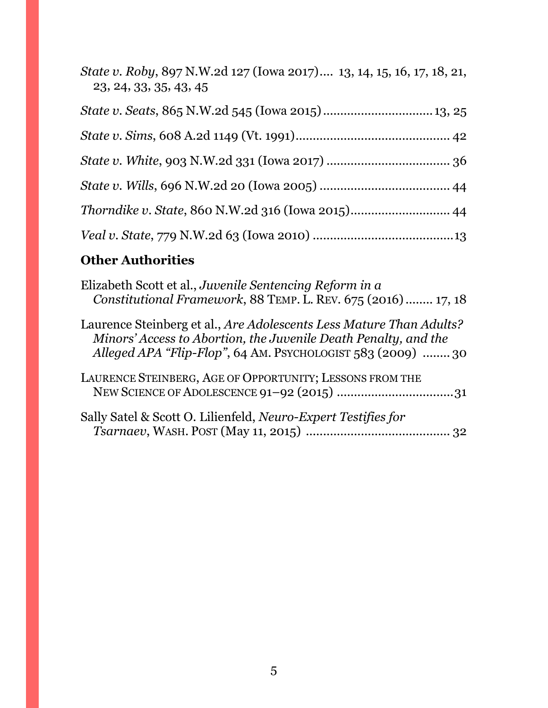| State v. Roby, 897 N.W.2d 127 (Iowa 2017) 13, 14, 15, 16, 17, 18, 21,<br>23, 24, 33, 35, 43, 45 |  |
|-------------------------------------------------------------------------------------------------|--|
|                                                                                                 |  |
|                                                                                                 |  |
|                                                                                                 |  |
|                                                                                                 |  |
| <i>Thorndike v. State, 860 N.W.2d 316 (Iowa 2015)</i> 44                                        |  |
|                                                                                                 |  |

# **Other Authorities**

| Elizabeth Scott et al., Juvenile Sentencing Reform in a<br>Constitutional Framework, 88 TEMP. L. REV. 675 (2016) 17, 18                                                                              |
|------------------------------------------------------------------------------------------------------------------------------------------------------------------------------------------------------|
| Laurence Steinberg et al., Are Adolescents Less Mature Than Adults?<br>Minors' Access to Abortion, the Juvenile Death Penalty, and the<br>Alleged APA "Flip-Flop", 64 AM. PSYCHOLOGIST 583 (2009) 30 |
| LAURENCE STEINBERG, AGE OF OPPORTUNITY; LESSONS FROM THE                                                                                                                                             |
| Sally Satel & Scott O. Lilienfeld, Neuro-Expert Testifies for                                                                                                                                        |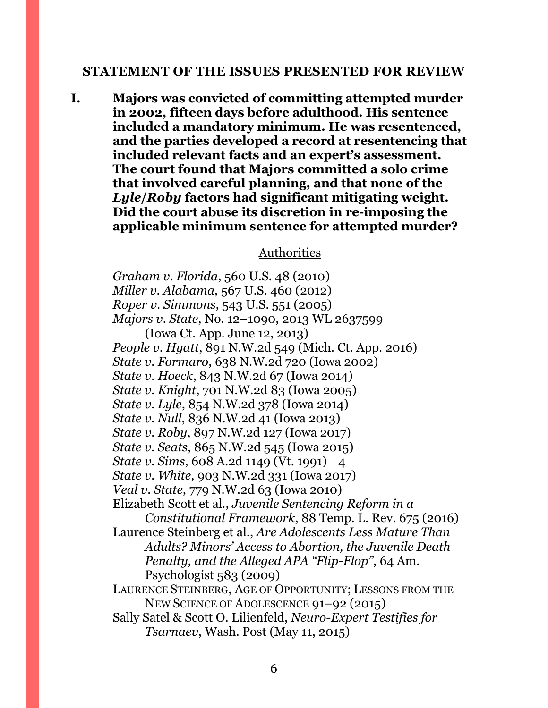#### <span id="page-5-0"></span>**STATEMENT OF THE ISSUES PRESENTED FOR REVIEW**

**I. Majors was convicted of committing attempted murder in 2002, fifteen days before adulthood. His sentence included a mandatory minimum. He was resentenced, and the parties developed a record at resentencing that included relevant facts and an expert's assessment. The court found that Majors committed a solo crime that involved careful planning, and that none of the**  *Lyle***/***Roby* **factors had significant mitigating weight. Did the court abuse its discretion in re-imposing the applicable minimum sentence for attempted murder?**

#### Authorities

*Graham v. Florida*, 560 U.S. 48 (2010) *Miller v. Alabama*, 567 U.S. 460 (2012) *Roper v. Simmons*, 543 U.S. 551 (2005) *Majors v. State*, No. 12–1090, 2013 WL 2637599 (Iowa Ct. App. June 12, 2013) *People v. Hyatt*, 891 N.W.2d 549 (Mich. Ct. App. 2016) *State v. Formaro*, 638 N.W.2d 720 (Iowa 2002) *State v. Hoeck*, 843 N.W.2d 67 (Iowa 2014) *State v. Knight*, 701 N.W.2d 83 (Iowa 2005) *State v. Lyle*, 854 N.W.2d 378 (Iowa 2014) *State v. Null*, 836 N.W.2d 41 (Iowa 2013) *State v. Roby*, 897 N.W.2d 127 (Iowa 2017) *State v. Seats*, 865 N.W.2d 545 (Iowa 2015) *State v. Sims,* 608 A.2d 1149 (Vt. 1991) 4 *State v. White*, 903 N.W.2d 331 (Iowa 2017) *Veal v. State*, 779 N.W.2d 63 (Iowa 2010) Elizabeth Scott et al., *Juvenile Sentencing Reform in a Constitutional Framework*, 88 Temp. L. Rev. 675 (2016) Laurence Steinberg et al., *Are Adolescents Less Mature Than Adults? Minors' Access to Abortion, the Juvenile Death Penalty, and the Alleged APA "Flip-Flop"*, 64 Am. Psychologist 583 (2009) LAURENCE STEINBERG, AGE OF OPPORTUNITY; LESSONS FROM THE NEW SCIENCE OF ADOLESCENCE 91–92 (2015) Sally Satel & Scott O. Lilienfeld, *Neuro-Expert Testifies for Tsarnaev*, Wash. Post (May 11, 2015)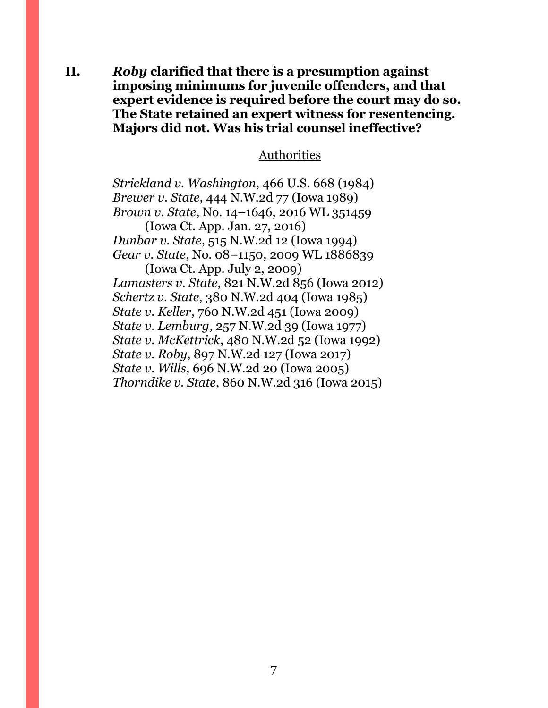**II.** *Roby* **clarified that there is a presumption against imposing minimums for juvenile offenders, and that expert evidence is required before the court may do so. The State retained an expert witness for resentencing. Majors did not. Was his trial counsel ineffective?**

#### Authorities

*Strickland v. Washington*, 466 U.S. 668 (1984) *Brewer v. State*, 444 N.W.2d 77 (Iowa 1989) *Brown v. State*, No. 14–1646, 2016 WL 351459 (Iowa Ct. App. Jan. 27, 2016) *Dunbar v. State*, 515 N.W.2d 12 (Iowa 1994) *Gear v. State*, No. 08–1150, 2009 WL 1886839 (Iowa Ct. App. July 2, 2009) *Lamasters v. State*, 821 N.W.2d 856 (Iowa 2012) *Schertz v. State*, 380 N.W.2d 404 (Iowa 1985) *State v. Keller*, 760 N.W.2d 451 (Iowa 2009) *State v. Lemburg*, 257 N.W.2d 39 (Iowa 1977) *State v. McKettrick*, 480 N.W.2d 52 (Iowa 1992) *State v. Roby*, 897 N.W.2d 127 (Iowa 2017) *State v. Wills*, 696 N.W.2d 20 (Iowa 2005) *Thorndike v. State*, 860 N.W.2d 316 (Iowa 2015)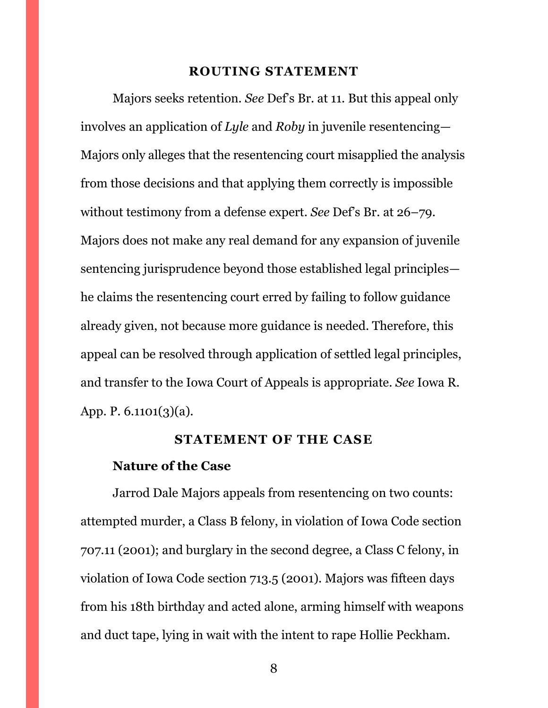#### **ROUTING STATEMENT**

<span id="page-7-0"></span>Majors seeks retention. *See* Def's Br. at 11. But this appeal only involves an application of *Lyle* and *Roby* in juvenile resentencing— Majors only alleges that the resentencing court misapplied the analysis from those decisions and that applying them correctly is impossible without testimony from a defense expert. *See* Def's Br. at 26–79. Majors does not make any real demand for any expansion of juvenile sentencing jurisprudence beyond those established legal principles he claims the resentencing court erred by failing to follow guidance already given, not because more guidance is needed. Therefore, this appeal can be resolved through application of settled legal principles, and transfer to the Iowa Court of Appeals is appropriate. *See* Iowa R. App. P. 6.1101(3)(a).

#### **STATEMENT OF THE CASE**

#### <span id="page-7-1"></span>**Nature of the Case**

Jarrod Dale Majors appeals from resentencing on two counts: attempted murder, a Class B felony, in violation of Iowa Code section 707.11 (2001); and burglary in the second degree, a Class C felony, in violation of Iowa Code section 713.5 (2001). Majors was fifteen days from his 18th birthday and acted alone, arming himself with weapons and duct tape, lying in wait with the intent to rape Hollie Peckham.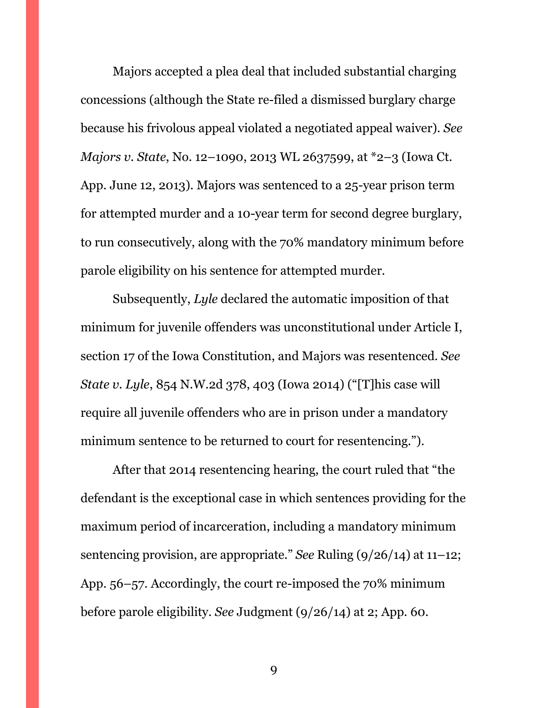Majors accepted a plea deal that included substantial charging concessions (although the State re-filed a dismissed burglary charge because his frivolous appeal violated a negotiated appeal waiver). *See Majors v. State*, No. 12–1090, 2013 WL 2637599, at \*2–3 (Iowa Ct. App. June 12, 2013). Majors was sentenced to a 25-year prison term for attempted murder and a 10-year term for second degree burglary, to run consecutively, along with the 70% mandatory minimum before parole eligibility on his sentence for attempted murder.

Subsequently, *Lyle* declared the automatic imposition of that minimum for juvenile offenders was unconstitutional under Article I, section 17 of the Iowa Constitution, and Majors was resentenced. *See State v. Lyle*, 854 N.W.2d 378, 403 (Iowa 2014) ("[T]his case will require all juvenile offenders who are in prison under a mandatory minimum sentence to be returned to court for resentencing.").

After that 2014 resentencing hearing, the court ruled that "the defendant is the exceptional case in which sentences providing for the maximum period of incarceration, including a mandatory minimum sentencing provision, are appropriate." *See* Ruling (9/26/14) at 11–12; App. 56–57. Accordingly, the court re-imposed the 70% minimum before parole eligibility. *See* Judgment (9/26/14) at 2; App. 60.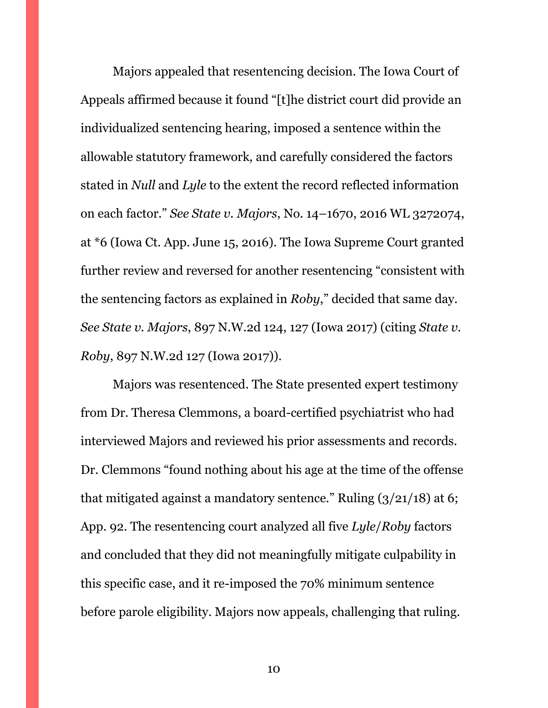Majors appealed that resentencing decision. The Iowa Court of Appeals affirmed because it found "[t]he district court did provide an individualized sentencing hearing, imposed a sentence within the allowable statutory framework, and carefully considered the factors stated in *Null* and *Lyle* to the extent the record reflected information on each factor." *See State v. Majors*, No. 14–1670, 2016 WL 3272074, at \*6 (Iowa Ct. App. June 15, 2016). The Iowa Supreme Court granted further review and reversed for another resentencing "consistent with the sentencing factors as explained in *Roby*," decided that same day. *See State v. Majors*, 897 N.W.2d 124, 127 (Iowa 2017) (citing *State v. Roby*, 897 N.W.2d 127 (Iowa 2017)).

Majors was resentenced. The State presented expert testimony from Dr. Theresa Clemmons, a board-certified psychiatrist who had interviewed Majors and reviewed his prior assessments and records. Dr. Clemmons "found nothing about his age at the time of the offense that mitigated against a mandatory sentence." Ruling  $(3/21/18)$  at 6; App. 92. The resentencing court analyzed all five *Lyle*/*Roby* factors and concluded that they did not meaningfully mitigate culpability in this specific case, and it re-imposed the 70% minimum sentence before parole eligibility. Majors now appeals, challenging that ruling.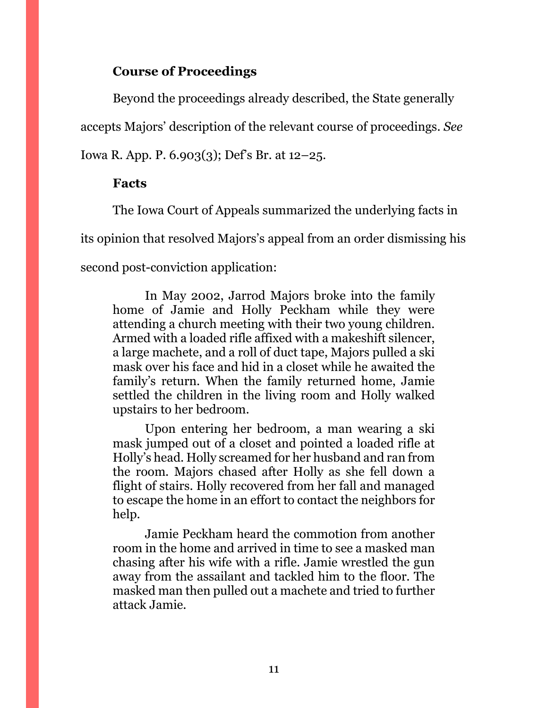### **Course of Proceedings**

Beyond the proceedings already described, the State generally

accepts Majors' description of the relevant course of proceedings. *See* 

Iowa R. App. P. 6.903(3); Def's Br. at 12–25.

### **Facts**

The Iowa Court of Appeals summarized the underlying facts in

its opinion that resolved Majors's appeal from an order dismissing his

second post-conviction application:

In May 2002, Jarrod Majors broke into the family home of Jamie and Holly Peckham while they were attending a church meeting with their two young children. Armed with a loaded rifle affixed with a makeshift silencer, a large machete, and a roll of duct tape, Majors pulled a ski mask over his face and hid in a closet while he awaited the family's return. When the family returned home, Jamie settled the children in the living room and Holly walked upstairs to her bedroom.

Upon entering her bedroom, a man wearing a ski mask jumped out of a closet and pointed a loaded rifle at Holly's head. Holly screamed for her husband and ran from the room. Majors chased after Holly as she fell down a flight of stairs. Holly recovered from her fall and managed to escape the home in an effort to contact the neighbors for help.

Jamie Peckham heard the commotion from another room in the home and arrived in time to see a masked man chasing after his wife with a rifle. Jamie wrestled the gun away from the assailant and tackled him to the floor. The masked man then pulled out a machete and tried to further attack Jamie.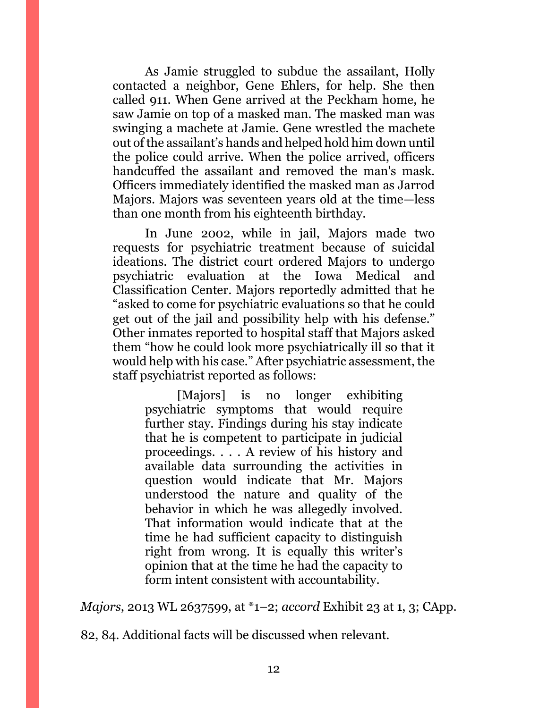As Jamie struggled to subdue the assailant, Holly contacted a neighbor, Gene Ehlers, for help. She then called 911. When Gene arrived at the Peckham home, he saw Jamie on top of a masked man. The masked man was swinging a machete at Jamie. Gene wrestled the machete out of the assailant's hands and helped hold him down until the police could arrive. When the police arrived, officers handcuffed the assailant and removed the man's mask. Officers immediately identified the masked man as Jarrod Majors. Majors was seventeen years old at the time—less than one month from his eighteenth birthday.

In June 2002, while in jail, Majors made two requests for psychiatric treatment because of suicidal ideations. The district court ordered Majors to undergo psychiatric evaluation at the Iowa Medical and Classification Center. Majors reportedly admitted that he "asked to come for psychiatric evaluations so that he could get out of the jail and possibility help with his defense." Other inmates reported to hospital staff that Majors asked them "how he could look more psychiatrically ill so that it would help with his case." After psychiatric assessment, the staff psychiatrist reported as follows:

[Majors] is no longer exhibiting psychiatric symptoms that would require further stay. Findings during his stay indicate that he is competent to participate in judicial proceedings. . . . A review of his history and available data surrounding the activities in question would indicate that Mr. Majors understood the nature and quality of the behavior in which he was allegedly involved. That information would indicate that at the time he had sufficient capacity to distinguish right from wrong. It is equally this writer's opinion that at the time he had the capacity to form intent consistent with accountability.

*Majors*, 2013 WL 2637599, at \*1–2; *accord* Exhibit 23 at 1, 3; CApp.

82, 84. Additional facts will be discussed when relevant.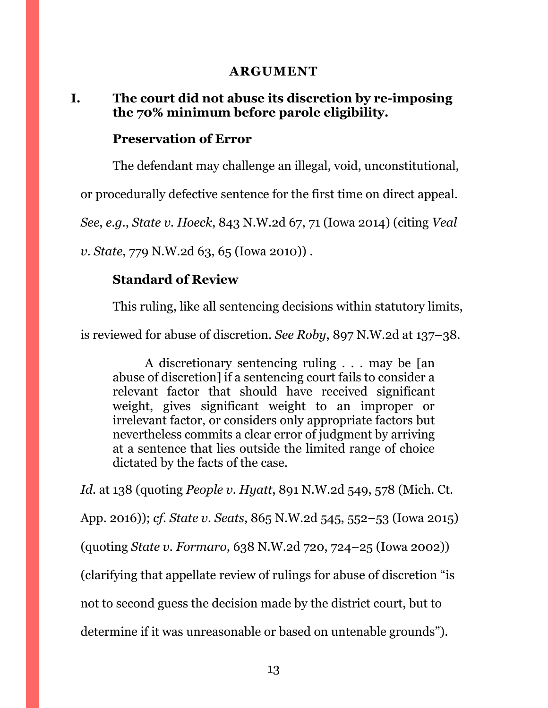### **ARGUMENT**

## <span id="page-12-1"></span><span id="page-12-0"></span>**I. The court did not abuse its discretion by re-imposing the 70% minimum before parole eligibility.**

#### **Preservation of Error**

The defendant may challenge an illegal, void, unconstitutional,

or procedurally defective sentence for the first time on direct appeal.

*See*, *e.g.*, *State v. Hoeck*, 843 N.W.2d 67, 71 (Iowa 2014) (citing *Veal* 

*v. State*, 779 N.W.2d 63, 65 (Iowa 2010)) *.*

## **Standard of Review**

This ruling, like all sentencing decisions within statutory limits,

is reviewed for abuse of discretion. *See Roby*, 897 N.W.2d at 137–38.

A discretionary sentencing ruling . . . may be [an abuse of discretion] if a sentencing court fails to consider a relevant factor that should have received significant weight, gives significant weight to an improper or irrelevant factor, or considers only appropriate factors but nevertheless commits a clear error of judgment by arriving at a sentence that lies outside the limited range of choice dictated by the facts of the case.

*Id.* at 138 (quoting *People v. Hyatt*, 891 N.W.2d 549, 578 (Mich. Ct.

App. 2016)); *cf. State v. Seats*, 865 N.W.2d 545, 552–53 (Iowa 2015)

(quoting *State v. Formaro*, 638 N.W.2d 720, 724–25 (Iowa 2002))

(clarifying that appellate review of rulings for abuse of discretion "is

not to second guess the decision made by the district court, but to

determine if it was unreasonable or based on untenable grounds").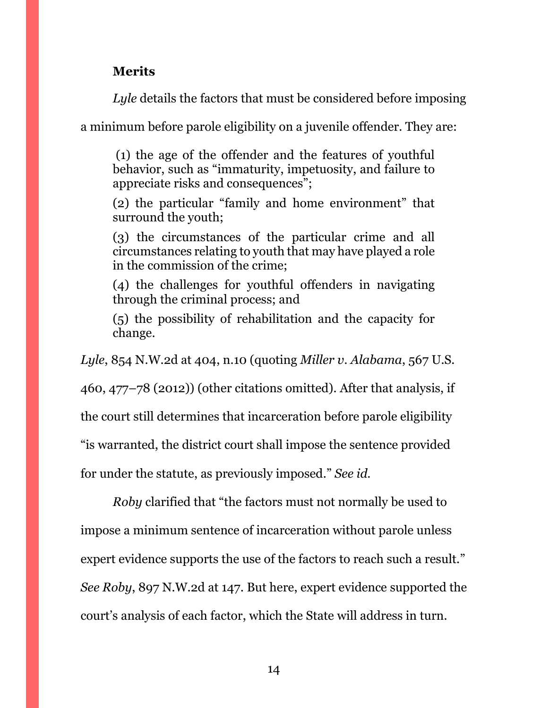# **Merits**

*Lyle* details the factors that must be considered before imposing

a minimum before parole eligibility on a juvenile offender. They are:

(1) the age of the offender and the features of youthful behavior, such as "immaturity, impetuosity, and failure to appreciate risks and consequences";

(2) the particular "family and home environment" that surround the youth;

(3) the circumstances of the particular crime and all circumstances relating to youth that may have played a role in the commission of the crime;

(4) the challenges for youthful offenders in navigating through the criminal process; and

(5) the possibility of rehabilitation and the capacity for change.

*Lyle*, 854 N.W.2d at 404, n.10 (quoting *Miller v. Alabama*, 567 U.S.

460, 477–78 (2012)) (other citations omitted). After that analysis, if

the court still determines that incarceration before parole eligibility

"is warranted, the district court shall impose the sentence provided

for under the statute, as previously imposed." *See id.* 

*Roby* clarified that "the factors must not normally be used to impose a minimum sentence of incarceration without parole unless expert evidence supports the use of the factors to reach such a result." *See Roby*, 897 N.W.2d at 147. But here, expert evidence supported the court's analysis of each factor, which the State will address in turn.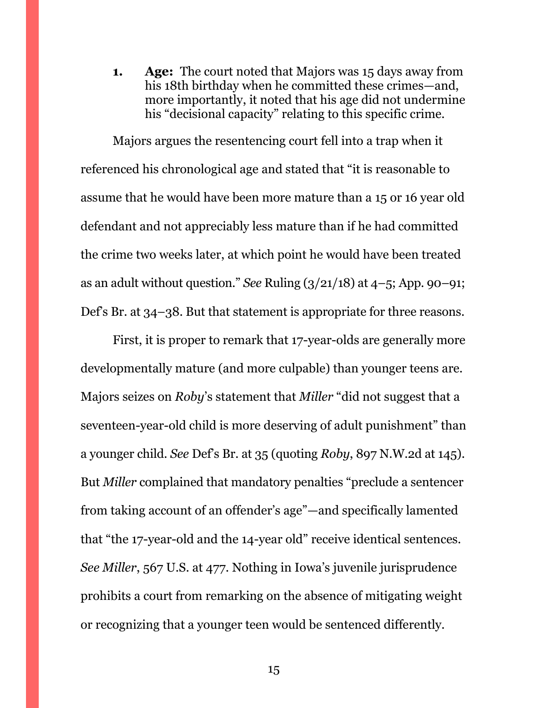<span id="page-14-0"></span>**1. Age:** The court noted that Majors was 15 days away from his 18th birthday when he committed these crimes—and, more importantly, it noted that his age did not undermine his "decisional capacity" relating to this specific crime.

Majors argues the resentencing court fell into a trap when it referenced his chronological age and stated that "it is reasonable to assume that he would have been more mature than a 15 or 16 year old defendant and not appreciably less mature than if he had committed the crime two weeks later, at which point he would have been treated as an adult without question." *See* Ruling (3/21/18) at 4–5; App. 90–91; Def's Br. at 34–38. But that statement is appropriate for three reasons.

First, it is proper to remark that 17-year-olds are generally more developmentally mature (and more culpable) than younger teens are. Majors seizes on *Roby*'s statement that *Miller* "did not suggest that a seventeen-year-old child is more deserving of adult punishment" than a younger child. *See* Def's Br. at 35 (quoting *Roby*, 897 N.W.2d at 145). But *Miller* complained that mandatory penalties "preclude a sentencer from taking account of an offender's age"—and specifically lamented that "the 17-year-old and the 14-year old" receive identical sentences. *See Miller*, 567 U.S. at 477. Nothing in Iowa's juvenile jurisprudence prohibits a court from remarking on the absence of mitigating weight or recognizing that a younger teen would be sentenced differently.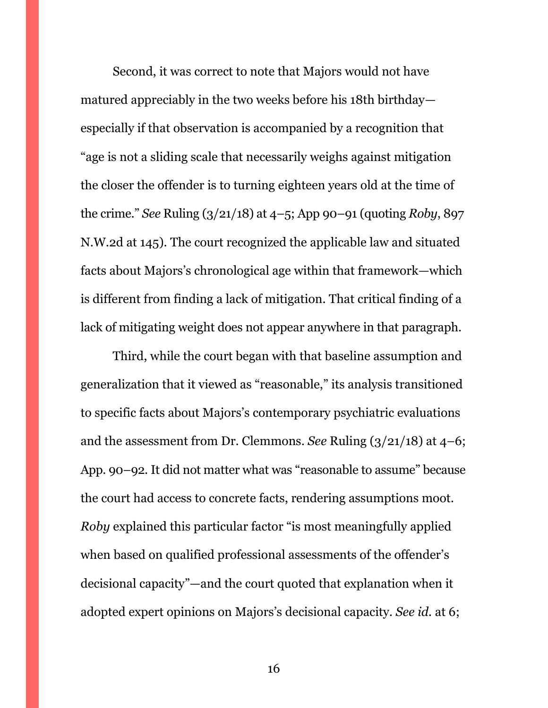Second, it was correct to note that Majors would not have matured appreciably in the two weeks before his 18th birthday especially if that observation is accompanied by a recognition that "age is not a sliding scale that necessarily weighs against mitigation the closer the offender is to turning eighteen years old at the time of the crime." *See* Ruling (3/21/18) at 4–5; App 90–91 (quoting *Roby*, 897 N.W.2d at 145). The court recognized the applicable law and situated facts about Majors's chronological age within that framework—which is different from finding a lack of mitigation. That critical finding of a lack of mitigating weight does not appear anywhere in that paragraph.

Third, while the court began with that baseline assumption and generalization that it viewed as "reasonable," its analysis transitioned to specific facts about Majors's contemporary psychiatric evaluations and the assessment from Dr. Clemmons. *See* Ruling (3/21/18) at 4–6; App. 90–92. It did not matter what was "reasonable to assume" because the court had access to concrete facts, rendering assumptions moot. *Roby* explained this particular factor "is most meaningfully applied when based on qualified professional assessments of the offender's decisional capacity"—and the court quoted that explanation when it adopted expert opinions on Majors's decisional capacity. *See id.* at 6;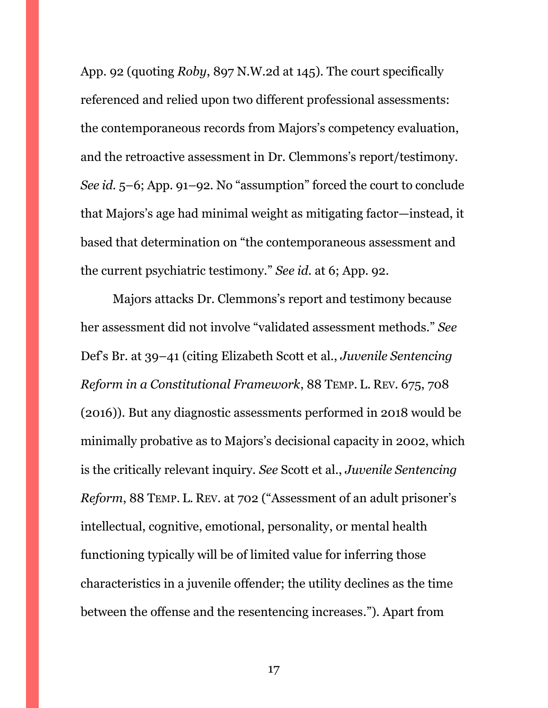App. 92 (quoting *Roby*, 897 N.W.2d at 145). The court specifically referenced and relied upon two different professional assessments: the contemporaneous records from Majors's competency evaluation, and the retroactive assessment in Dr. Clemmons's report/testimony. *See id.* 5–6; App. 91–92. No "assumption" forced the court to conclude that Majors's age had minimal weight as mitigating factor—instead, it based that determination on "the contemporaneous assessment and the current psychiatric testimony." *See id.* at 6; App. 92.

Majors attacks Dr. Clemmons's report and testimony because her assessment did not involve "validated assessment methods." *See*  Def's Br. at 39–41 (citing Elizabeth Scott et al., *Juvenile Sentencing Reform in a Constitutional Framework*, 88 TEMP. L. REV. 675, 708 (2016)). But any diagnostic assessments performed in 2018 would be minimally probative as to Majors's decisional capacity in 2002, which is the critically relevant inquiry. *See* Scott et al., *Juvenile Sentencing Reform*, 88 TEMP. L. REV. at 702 ("Assessment of an adult prisoner's intellectual, cognitive, emotional, personality, or mental health functioning typically will be of limited value for inferring those characteristics in a juvenile offender; the utility declines as the time between the offense and the resentencing increases."). Apart from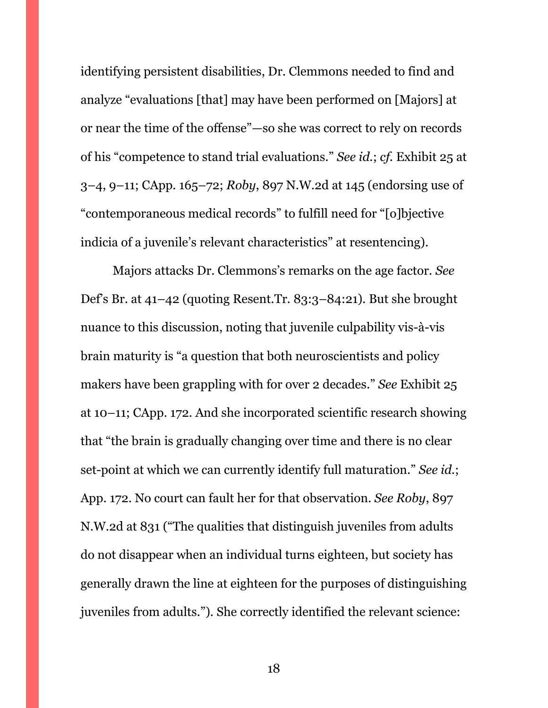identifying persistent disabilities, Dr. Clemmons needed to find and analyze "evaluations [that] may have been performed on [Majors] at or near the time of the offense"—so she was correct to rely on records of his "competence to stand trial evaluations." *See id.*; *cf.* Exhibit 25 at 3–4, 9–11; CApp. 165–72; *Roby*, 897 N.W.2d at 145 (endorsing use of "contemporaneous medical records" to fulfill need for "[o]bjective indicia of a juvenile's relevant characteristics" at resentencing).

Majors attacks Dr. Clemmons's remarks on the age factor. *See*  Def's Br. at 41–42 (quoting Resent.Tr. 83:3–84:21). But she brought nuance to this discussion, noting that juvenile culpability vis-à-vis brain maturity is "a question that both neuroscientists and policy makers have been grappling with for over 2 decades." *See* Exhibit 25 at 10–11; CApp. 172. And she incorporated scientific research showing that "the brain is gradually changing over time and there is no clear set-point at which we can currently identify full maturation." *See id.*; App. 172. No court can fault her for that observation. *See Roby*, 897 N.W.2d at 831 ("The qualities that distinguish juveniles from adults do not disappear when an individual turns eighteen, but society has generally drawn the line at eighteen for the purposes of distinguishing juveniles from adults."). She correctly identified the relevant science: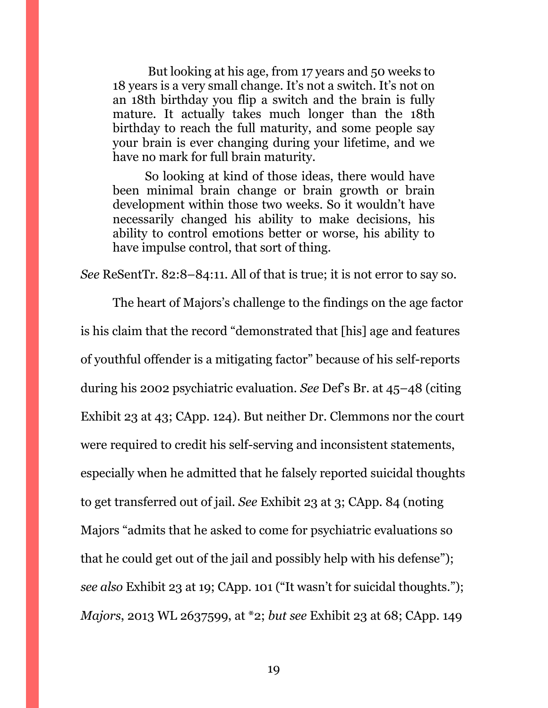But looking at his age, from 17 years and 50 weeks to 18 years is a very small change. It's not a switch. It's not on an 18th birthday you flip a switch and the brain is fully mature. It actually takes much longer than the 18th birthday to reach the full maturity, and some people say your brain is ever changing during your lifetime, and we have no mark for full brain maturity.

So looking at kind of those ideas, there would have been minimal brain change or brain growth or brain development within those two weeks. So it wouldn't have necessarily changed his ability to make decisions, his ability to control emotions better or worse, his ability to have impulse control, that sort of thing.

*See* ReSentTr. 82:8–84:11. All of that is true; it is not error to say so.

The heart of Majors's challenge to the findings on the age factor is his claim that the record "demonstrated that [his] age and features of youthful offender is a mitigating factor" because of his self-reports during his 2002 psychiatric evaluation. *See* Def's Br. at 45–48 (citing Exhibit 23 at 43; CApp. 124). But neither Dr. Clemmons nor the court were required to credit his self-serving and inconsistent statements, especially when he admitted that he falsely reported suicidal thoughts to get transferred out of jail. *See* Exhibit 23 at 3; CApp. 84 (noting Majors "admits that he asked to come for psychiatric evaluations so that he could get out of the jail and possibly help with his defense"); *see also* Exhibit 23 at 19; CApp. 101 ("It wasn't for suicidal thoughts."); *Majors*, 2013 WL 2637599, at \*2; *but see* Exhibit 23 at 68; CApp. 149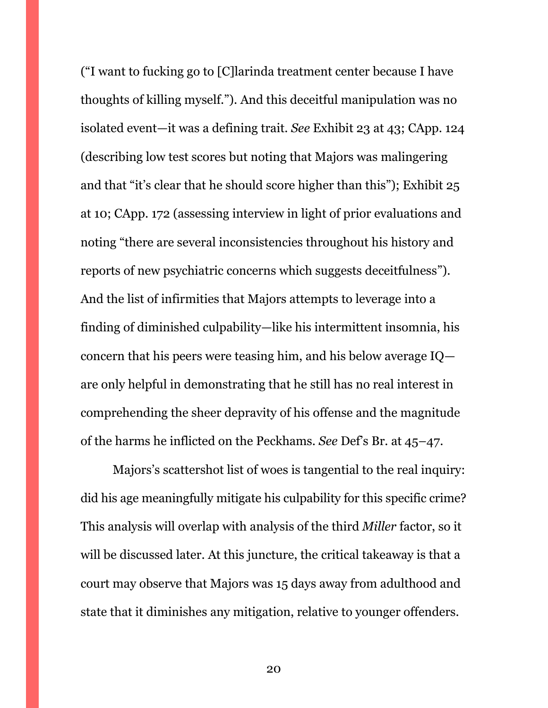("I want to fucking go to [C]larinda treatment center because I have thoughts of killing myself."). And this deceitful manipulation was no isolated event—it was a defining trait. *See* Exhibit 23 at 43; CApp. 124 (describing low test scores but noting that Majors was malingering and that "it's clear that he should score higher than this"); Exhibit 25 at 10; CApp. 172 (assessing interview in light of prior evaluations and noting "there are several inconsistencies throughout his history and reports of new psychiatric concerns which suggests deceitfulness"). And the list of infirmities that Majors attempts to leverage into a finding of diminished culpability—like his intermittent insomnia, his concern that his peers were teasing him, and his below average IQ are only helpful in demonstrating that he still has no real interest in comprehending the sheer depravity of his offense and the magnitude of the harms he inflicted on the Peckhams. *See* Def's Br. at 45–47.

Majors's scattershot list of woes is tangential to the real inquiry: did his age meaningfully mitigate his culpability for this specific crime? This analysis will overlap with analysis of the third *Miller* factor, so it will be discussed later. At this juncture, the critical takeaway is that a court may observe that Majors was 15 days away from adulthood and state that it diminishes any mitigation, relative to younger offenders.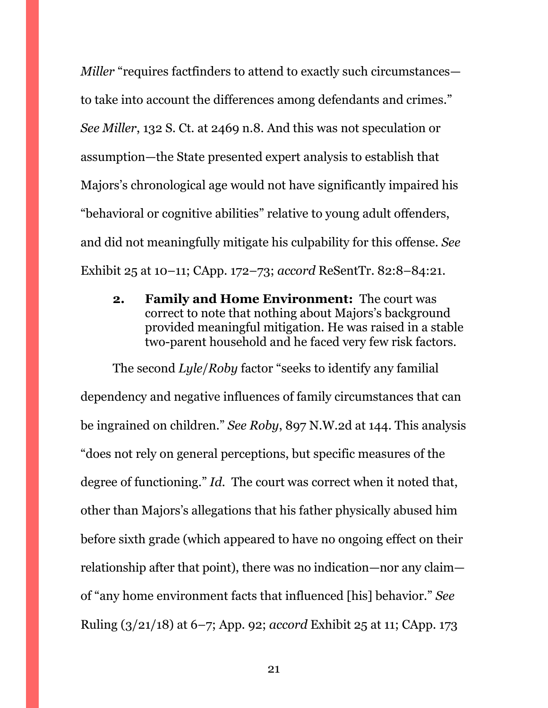*Miller* "requires factfinders to attend to exactly such circumstances to take into account the differences among defendants and crimes." *See Miller*, 132 S. Ct. at 2469 n.8. And this was not speculation or assumption—the State presented expert analysis to establish that Majors's chronological age would not have significantly impaired his "behavioral or cognitive abilities" relative to young adult offenders, and did not meaningfully mitigate his culpability for this offense. *See*  Exhibit 25 at 10–11; CApp. 172–73; *accord* ReSentTr. 82:8–84:21.

<span id="page-20-0"></span>**2. Family and Home Environment:** The court was correct to note that nothing about Majors's background provided meaningful mitigation. He was raised in a stable two-parent household and he faced very few risk factors.

The second *Lyle*/*Roby* factor "seeks to identify any familial dependency and negative influences of family circumstances that can be ingrained on children." *See Roby*, 897 N.W.2d at 144. This analysis "does not rely on general perceptions, but specific measures of the degree of functioning." *Id.* The court was correct when it noted that, other than Majors's allegations that his father physically abused him before sixth grade (which appeared to have no ongoing effect on their relationship after that point), there was no indication—nor any claim of "any home environment facts that influenced [his] behavior." *See*  Ruling (3/21/18) at 6–7; App. 92; *accord* Exhibit 25 at 11; CApp. 173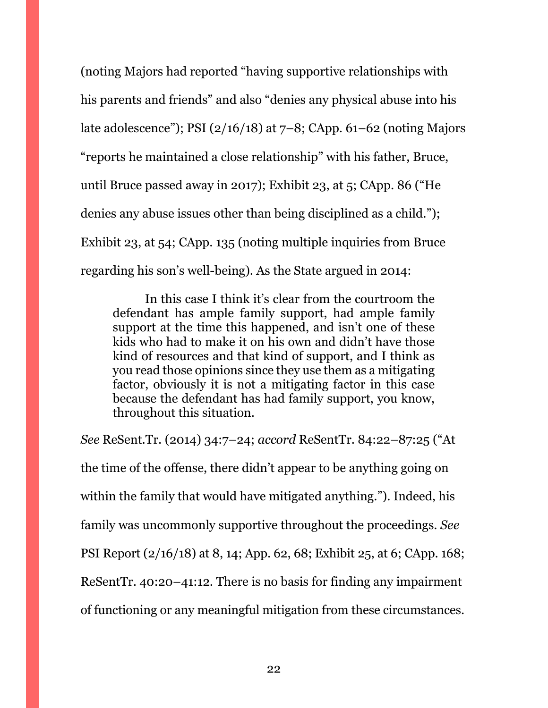(noting Majors had reported "having supportive relationships with his parents and friends" and also "denies any physical abuse into his late adolescence"); PSI  $(2/16/18)$  at  $7-8$ ; CApp. 61–62 (noting Majors "reports he maintained a close relationship" with his father, Bruce, until Bruce passed away in 2017); Exhibit 23, at 5; CApp. 86 ("He denies any abuse issues other than being disciplined as a child."); Exhibit 23, at 54; CApp. 135 (noting multiple inquiries from Bruce regarding his son's well-being). As the State argued in 2014:

In this case I think it's clear from the courtroom the defendant has ample family support, had ample family support at the time this happened, and isn't one of these kids who had to make it on his own and didn't have those kind of resources and that kind of support, and I think as you read those opinions since they use them as a mitigating factor, obviously it is not a mitigating factor in this case because the defendant has had family support, you know, throughout this situation.

*See* ReSent.Tr. (2014) 34:7–24; *accord* ReSentTr. 84:22–87:25 ("At the time of the offense, there didn't appear to be anything going on within the family that would have mitigated anything."). Indeed, his family was uncommonly supportive throughout the proceedings. *See*  PSI Report (2/16/18) at 8, 14; App. 62, 68; Exhibit 25, at 6; CApp. 168; ReSentTr. 40:20–41:12. There is no basis for finding any impairment of functioning or any meaningful mitigation from these circumstances.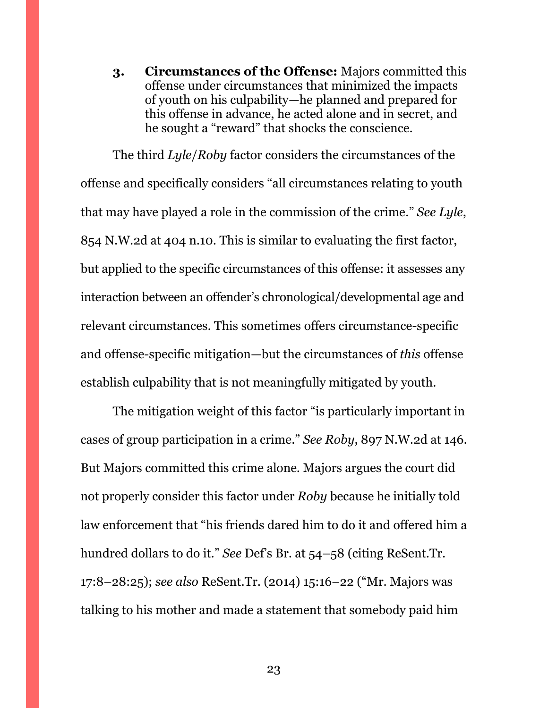<span id="page-22-0"></span>**3. Circumstances of the Offense:** Majors committed this offense under circumstances that minimized the impacts of youth on his culpability—he planned and prepared for this offense in advance, he acted alone and in secret, and he sought a "reward" that shocks the conscience.

The third *Lyle*/*Roby* factor considers the circumstances of the offense and specifically considers "all circumstances relating to youth that may have played a role in the commission of the crime." *See Lyle*, 854 N.W.2d at 404 n.10. This is similar to evaluating the first factor, but applied to the specific circumstances of this offense: it assesses any interaction between an offender's chronological/developmental age and relevant circumstances. This sometimes offers circumstance-specific and offense-specific mitigation—but the circumstances of *this* offense establish culpability that is not meaningfully mitigated by youth.

The mitigation weight of this factor "is particularly important in cases of group participation in a crime." *See Roby*, 897 N.W.2d at 146. But Majors committed this crime alone. Majors argues the court did not properly consider this factor under *Roby* because he initially told law enforcement that "his friends dared him to do it and offered him a hundred dollars to do it." *See* Def's Br. at 54–58 (citing ReSent.Tr. 17:8–28:25); *see also* ReSent.Tr. (2014) 15:16–22 ("Mr. Majors was talking to his mother and made a statement that somebody paid him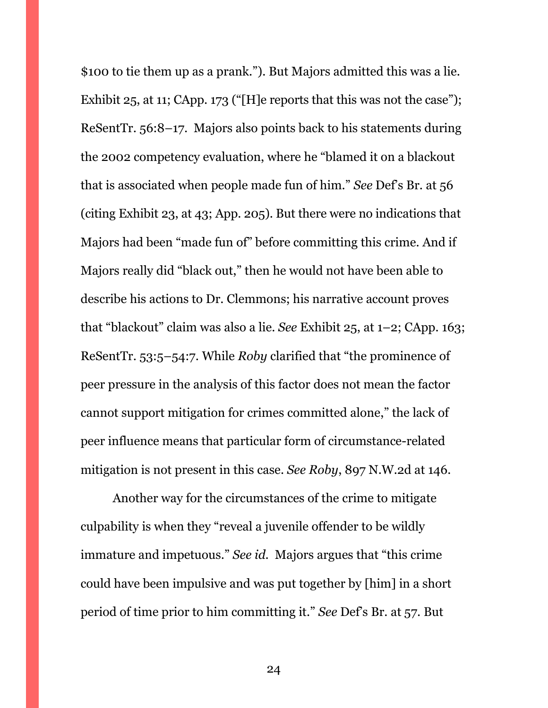\$100 to tie them up as a prank."). But Majors admitted this was a lie. Exhibit 25, at 11; CApp. 173 ("[H]e reports that this was not the case"); ReSentTr. 56:8–17. Majors also points back to his statements during the 2002 competency evaluation, where he "blamed it on a blackout that is associated when people made fun of him." *See* Def's Br. at 56 (citing Exhibit 23, at 43; App. 205). But there were no indications that Majors had been "made fun of" before committing this crime. And if Majors really did "black out," then he would not have been able to describe his actions to Dr. Clemmons; his narrative account proves that "blackout" claim was also a lie. *See* Exhibit 25, at 1–2; CApp. 163; ReSentTr. 53:5–54:7. While *Roby* clarified that "the prominence of peer pressure in the analysis of this factor does not mean the factor cannot support mitigation for crimes committed alone," the lack of peer influence means that particular form of circumstance-related mitigation is not present in this case. *See Roby*, 897 N.W.2d at 146.

Another way for the circumstances of the crime to mitigate culpability is when they "reveal a juvenile offender to be wildly immature and impetuous." *See id.* Majors argues that "this crime could have been impulsive and was put together by [him] in a short period of time prior to him committing it." *See* Def's Br. at 57. But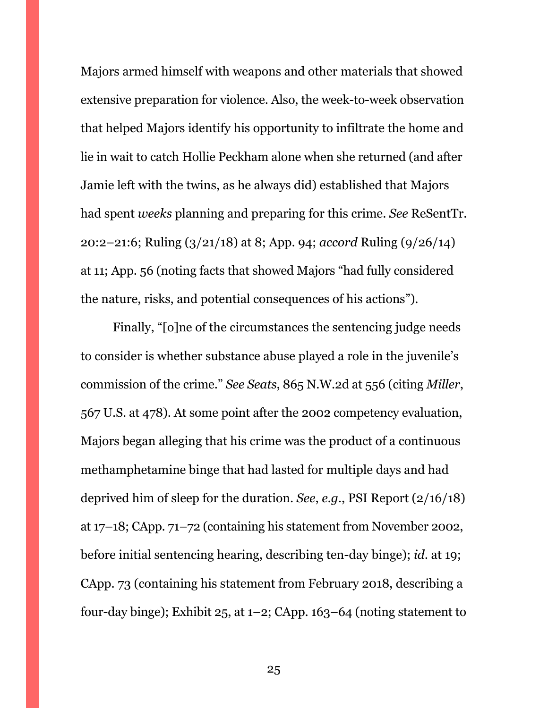Majors armed himself with weapons and other materials that showed extensive preparation for violence. Also, the week-to-week observation that helped Majors identify his opportunity to infiltrate the home and lie in wait to catch Hollie Peckham alone when she returned (and after Jamie left with the twins, as he always did) established that Majors had spent *weeks* planning and preparing for this crime. *See* ReSentTr. 20:2–21:6; Ruling (3/21/18) at 8; App. 94; *accord* Ruling (9/26/14) at 11; App. 56 (noting facts that showed Majors "had fully considered the nature, risks, and potential consequences of his actions").

Finally, "[o]ne of the circumstances the sentencing judge needs to consider is whether substance abuse played a role in the juvenile's commission of the crime." *See Seats*, 865 N.W.2d at 556 (citing *Miller*, 567 U.S. at 478). At some point after the 2002 competency evaluation, Majors began alleging that his crime was the product of a continuous methamphetamine binge that had lasted for multiple days and had deprived him of sleep for the duration. *See*, *e.g.*, PSI Report (2/16/18) at 17–18; CApp. 71–72 (containing his statement from November 2002, before initial sentencing hearing, describing ten-day binge); *id.* at 19; CApp. 73 (containing his statement from February 2018, describing a four-day binge); Exhibit 25, at  $1-2$ ; CApp. 163–64 (noting statement to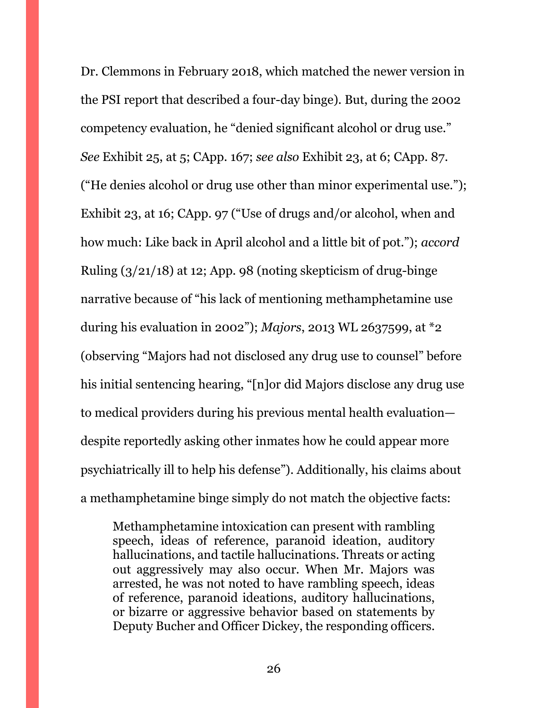Dr. Clemmons in February 2018, which matched the newer version in the PSI report that described a four-day binge). But, during the 2002 competency evaluation, he "denied significant alcohol or drug use." *See* Exhibit 25, at 5; CApp. 167; *see also* Exhibit 23, at 6; CApp. 87. ("He denies alcohol or drug use other than minor experimental use."); Exhibit 23, at 16; CApp. 97 ("Use of drugs and/or alcohol, when and how much: Like back in April alcohol and a little bit of pot."); *accord*  Ruling (3/21/18) at 12; App. 98 (noting skepticism of drug-binge narrative because of "his lack of mentioning methamphetamine use during his evaluation in 2002"); *Majors*, 2013 WL 2637599, at \*2 (observing "Majors had not disclosed any drug use to counsel" before his initial sentencing hearing, "[n]or did Majors disclose any drug use to medical providers during his previous mental health evaluation despite reportedly asking other inmates how he could appear more psychiatrically ill to help his defense"). Additionally, his claims about a methamphetamine binge simply do not match the objective facts:

Methamphetamine intoxication can present with rambling speech, ideas of reference, paranoid ideation, auditory hallucinations, and tactile hallucinations. Threats or acting out aggressively may also occur. When Mr. Majors was arrested, he was not noted to have rambling speech, ideas of reference, paranoid ideations, auditory hallucinations, or bizarre or aggressive behavior based on statements by Deputy Bucher and Officer Dickey, the responding officers.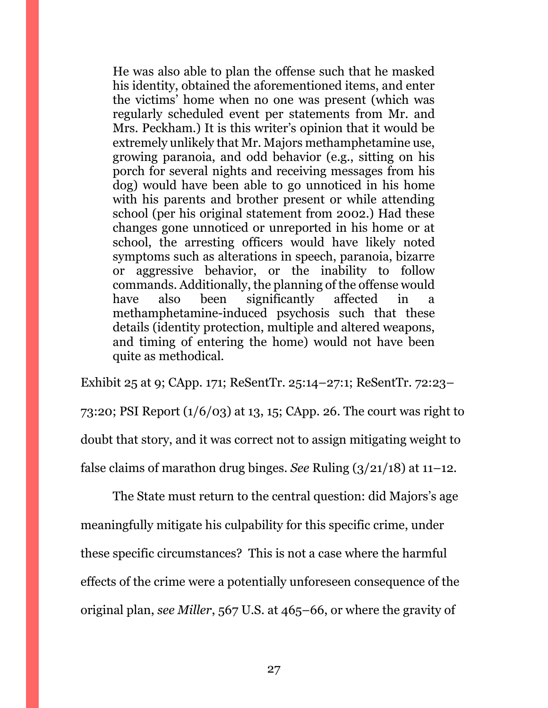He was also able to plan the offense such that he masked his identity, obtained the aforementioned items, and enter the victims' home when no one was present (which was regularly scheduled event per statements from Mr. and Mrs. Peckham.) It is this writer's opinion that it would be extremely unlikely that Mr. Majors methamphetamine use, growing paranoia, and odd behavior (e.g., sitting on his porch for several nights and receiving messages from his dog) would have been able to go unnoticed in his home with his parents and brother present or while attending school (per his original statement from 2002.) Had these changes gone unnoticed or unreported in his home or at school, the arresting officers would have likely noted symptoms such as alterations in speech, paranoia, bizarre or aggressive behavior, or the inability to follow commands. Additionally, the planning of the offense would have also been significantly affected in a methamphetamine-induced psychosis such that these details (identity protection, multiple and altered weapons, and timing of entering the home) would not have been quite as methodical.

Exhibit 25 at 9; CApp. 171; ReSentTr. 25:14–27:1; ReSentTr. 72:23– 73:20; PSI Report (1/6/03) at 13, 15; CApp. 26. The court was right to doubt that story, and it was correct not to assign mitigating weight to false claims of marathon drug binges. *See* Ruling (3/21/18) at 11–12.

The State must return to the central question: did Majors's age meaningfully mitigate his culpability for this specific crime, under these specific circumstances? This is not a case where the harmful effects of the crime were a potentially unforeseen consequence of the original plan, *see Miller*, 567 U.S. at 465–66, or where the gravity of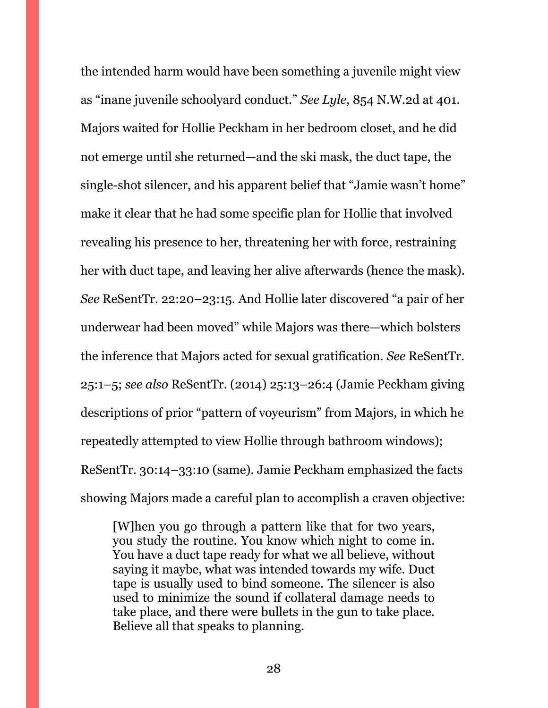the intended harm would have been something a juvenile might view as "inane juvenile schoolyard conduct." *See Lyle*, 854 N.W.2d at 401. Majors waited for Hollie Peckham in her bedroom closet, and he did not emerge until she returned—and the ski mask, the duct tape, the single-shot silencer, and his apparent belief that "Jamie wasn't home" make it clear that he had some specific plan for Hollie that involved revealing his presence to her, threatening her with force, restraining her with duct tape, and leaving her alive afterwards (hence the mask). *See* ReSentTr. 22:20–23:15. And Hollie later discovered "a pair of her underwear had been moved" while Majors was there—which bolsters the inference that Majors acted for sexual gratification. *See* ReSentTr. 25:1–5; *see also* ReSentTr. (2014) 25:13–26:4 (Jamie Peckham giving descriptions of prior "pattern of voyeurism" from Majors, in which he repeatedly attempted to view Hollie through bathroom windows); ReSentTr. 30:14–33:10 (same). Jamie Peckham emphasized the facts showing Majors made a careful plan to accomplish a craven objective:

[W]hen you go through a pattern like that for two years, you study the routine. You know which night to come in. You have a duct tape ready for what we all believe, without saying it maybe, what was intended towards my wife. Duct tape is usually used to bind someone. The silencer is also used to minimize the sound if collateral damage needs to take place, and there were bullets in the gun to take place. Believe all that speaks to planning.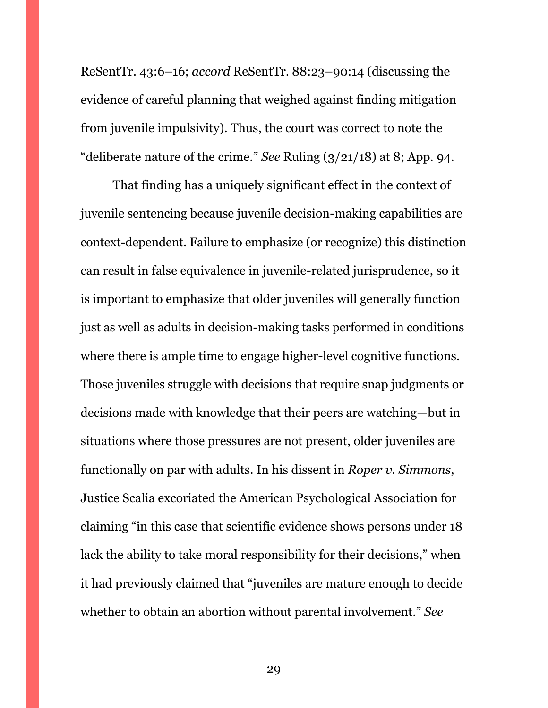ReSentTr. 43:6–16; *accord* ReSentTr. 88:23–90:14 (discussing the evidence of careful planning that weighed against finding mitigation from juvenile impulsivity). Thus, the court was correct to note the "deliberate nature of the crime." *See* Ruling (3/21/18) at 8; App. 94.

That finding has a uniquely significant effect in the context of juvenile sentencing because juvenile decision-making capabilities are context-dependent. Failure to emphasize (or recognize) this distinction can result in false equivalence in juvenile-related jurisprudence, so it is important to emphasize that older juveniles will generally function just as well as adults in decision-making tasks performed in conditions where there is ample time to engage higher-level cognitive functions. Those juveniles struggle with decisions that require snap judgments or decisions made with knowledge that their peers are watching—but in situations where those pressures are not present, older juveniles are functionally on par with adults. In his dissent in *Roper v. Simmons*, Justice Scalia excoriated the American Psychological Association for claiming "in this case that scientific evidence shows persons under 18 lack the ability to take moral responsibility for their decisions," when it had previously claimed that "juveniles are mature enough to decide whether to obtain an abortion without parental involvement." *See*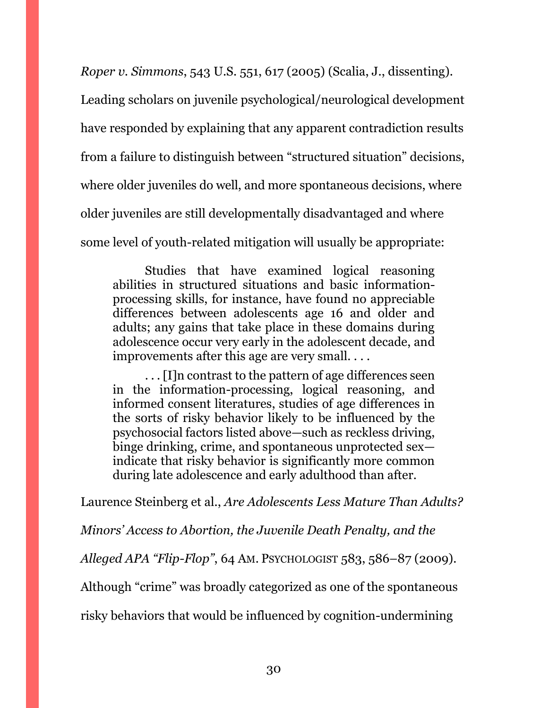*Roper v. Simmons*, 543 U.S. 551, 617 (2005) (Scalia, J., dissenting).

Leading scholars on juvenile psychological/neurological development have responded by explaining that any apparent contradiction results from a failure to distinguish between "structured situation" decisions, where older juveniles do well, and more spontaneous decisions, where older juveniles are still developmentally disadvantaged and where some level of youth-related mitigation will usually be appropriate:

Studies that have examined logical reasoning abilities in structured situations and basic informationprocessing skills, for instance, have found no appreciable differences between adolescents age 16 and older and adults; any gains that take place in these domains during adolescence occur very early in the adolescent decade, and improvements after this age are very small. . . .

. . . [I]n contrast to the pattern of age differences seen in the information-processing, logical reasoning, and informed consent literatures, studies of age differences in the sorts of risky behavior likely to be influenced by the psychosocial factors listed above—such as reckless driving, binge drinking, crime, and spontaneous unprotected sex indicate that risky behavior is significantly more common during late adolescence and early adulthood than after.

Laurence Steinberg et al., *Are Adolescents Less Mature Than Adults?* 

*Minors' Access to Abortion, the Juvenile Death Penalty, and the* 

*Alleged APA "Flip-Flop"*, 64 AM. PSYCHOLOGIST 583, 586–87 (2009).

Although "crime" was broadly categorized as one of the spontaneous

risky behaviors that would be influenced by cognition-undermining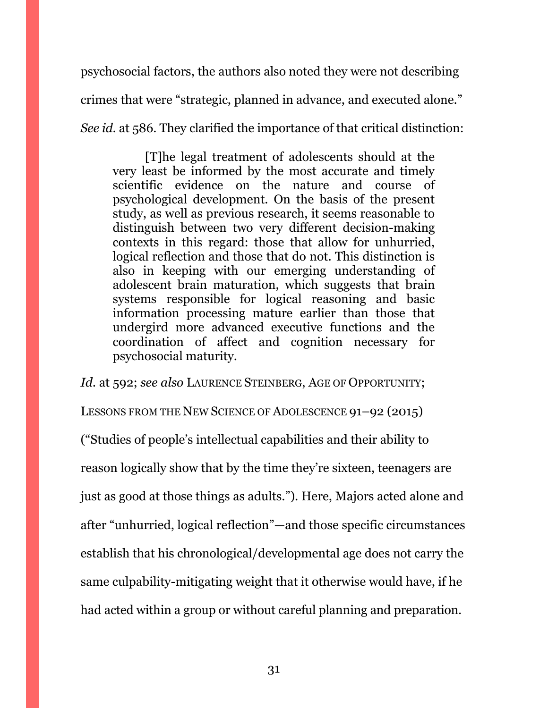psychosocial factors, the authors also noted they were not describing crimes that were "strategic, planned in advance, and executed alone." *See id*. at 586. They clarified the importance of that critical distinction:

[T]he legal treatment of adolescents should at the very least be informed by the most accurate and timely scientific evidence on the nature and course of psychological development. On the basis of the present study, as well as previous research, it seems reasonable to distinguish between two very different decision-making contexts in this regard: those that allow for unhurried, logical reflection and those that do not. This distinction is also in keeping with our emerging understanding of adolescent brain maturation, which suggests that brain systems responsible for logical reasoning and basic information processing mature earlier than those that undergird more advanced executive functions and the coordination of affect and cognition necessary for psychosocial maturity.

*Id.* at 592; *see also* LAURENCE STEINBERG, AGE OF OPPORTUNITY;

LESSONS FROM THE NEW SCIENCE OF ADOLESCENCE 91–92 (2015)

("Studies of people's intellectual capabilities and their ability to reason logically show that by the time they're sixteen, teenagers are just as good at those things as adults."). Here, Majors acted alone and after "unhurried, logical reflection"—and those specific circumstances establish that his chronological/developmental age does not carry the same culpability-mitigating weight that it otherwise would have, if he

had acted within a group or without careful planning and preparation.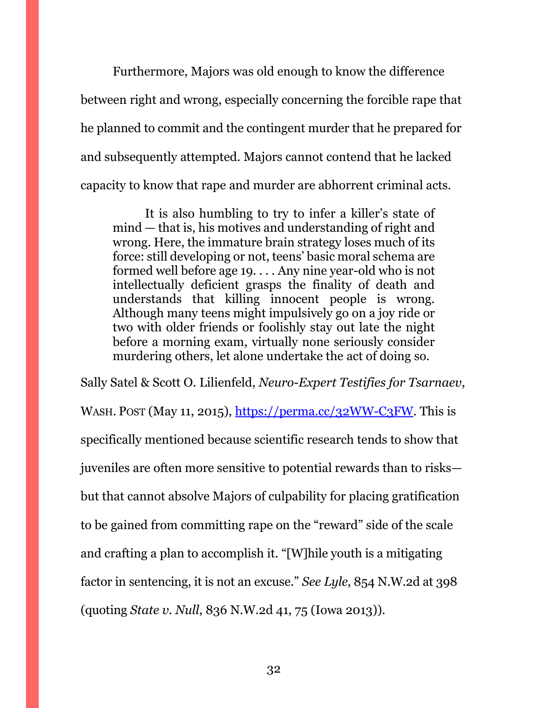Furthermore, Majors was old enough to know the difference between right and wrong, especially concerning the forcible rape that he planned to commit and the contingent murder that he prepared for and subsequently attempted. Majors cannot contend that he lacked capacity to know that rape and murder are abhorrent criminal acts.

It is also humbling to try to infer a killer's state of mind — that is, his motives and understanding of right and wrong. Here, the immature brain strategy loses much of its force: still developing or not, teens' basic moral schema are formed well before age 19. . . . Any nine year-old who is not intellectually deficient grasps the finality of death and understands that killing innocent people is wrong. Although many teens might impulsively go on a joy ride or two with older friends or foolishly stay out late the night before a morning exam, virtually none seriously consider murdering others, let alone undertake the act of doing so.

Sally Satel & Scott O. Lilienfeld, *Neuro-Expert Testifies for Tsarnaev*, WASH. POST (May 11, 2015), [https://perma.cc/32WW-C3FW.](https://perma.cc/32WW-C3FW) This is specifically mentioned because scientific research tends to show that juveniles are often more sensitive to potential rewards than to risks but that cannot absolve Majors of culpability for placing gratification to be gained from committing rape on the "reward" side of the scale and crafting a plan to accomplish it. "[W]hile youth is a mitigating factor in sentencing, it is not an excuse." *See Lyle*, 854 N.W.2d at 398 (quoting *State v. Null*, 836 N.W.2d 41, 75 (Iowa 2013)).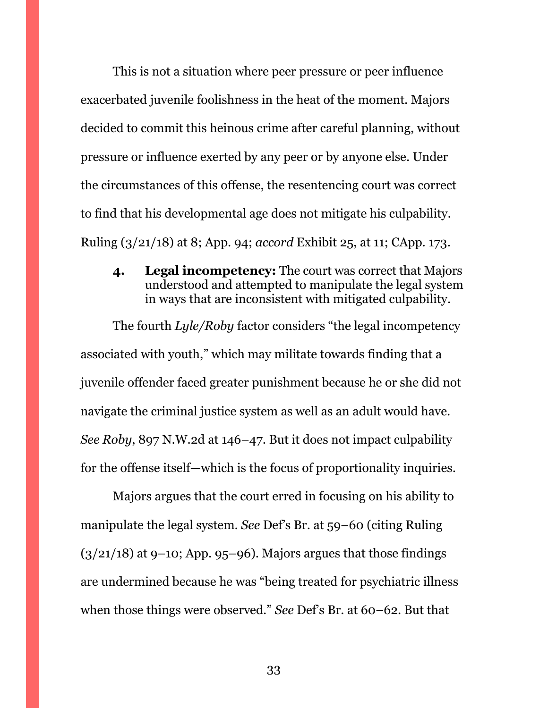This is not a situation where peer pressure or peer influence exacerbated juvenile foolishness in the heat of the moment. Majors decided to commit this heinous crime after careful planning, without pressure or influence exerted by any peer or by anyone else. Under the circumstances of this offense, the resentencing court was correct to find that his developmental age does not mitigate his culpability. Ruling (3/21/18) at 8; App. 94; *accord* Exhibit 25, at 11; CApp. 173.

<span id="page-32-0"></span>**4. Legal incompetency:** The court was correct that Majors understood and attempted to manipulate the legal system in ways that are inconsistent with mitigated culpability.

The fourth *Lyle/Roby* factor considers "the legal incompetency associated with youth," which may militate towards finding that a juvenile offender faced greater punishment because he or she did not navigate the criminal justice system as well as an adult would have. *See Roby*, 897 N.W.2d at 146–47. But it does not impact culpability for the offense itself—which is the focus of proportionality inquiries.

Majors argues that the court erred in focusing on his ability to manipulate the legal system. *See* Def's Br. at 59–60 (citing Ruling  $(3/21/18)$  at 9–10; App. 95–96). Majors argues that those findings are undermined because he was "being treated for psychiatric illness when those things were observed." *See* Def's Br. at 60–62. But that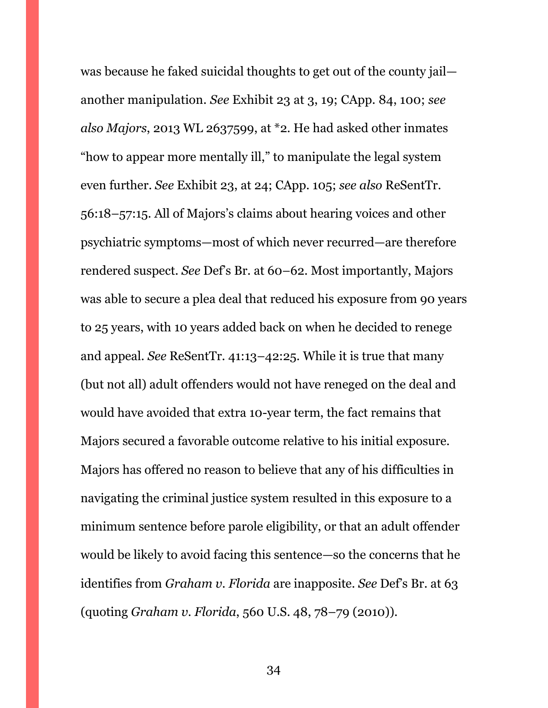was because he faked suicidal thoughts to get out of the county jail another manipulation. *See* Exhibit 23 at 3, 19; CApp. 84, 100; *see also Majors*, 2013 WL 2637599, at \*2. He had asked other inmates "how to appear more mentally ill," to manipulate the legal system even further. *See* Exhibit 23, at 24; CApp. 105; *see also* ReSentTr. 56:18–57:15. All of Majors's claims about hearing voices and other psychiatric symptoms—most of which never recurred—are therefore rendered suspect. *See* Def's Br. at 60–62. Most importantly, Majors was able to secure a plea deal that reduced his exposure from 90 years to 25 years, with 10 years added back on when he decided to renege and appeal. *See* ReSentTr. 41:13–42:25. While it is true that many (but not all) adult offenders would not have reneged on the deal and would have avoided that extra 10-year term, the fact remains that Majors secured a favorable outcome relative to his initial exposure. Majors has offered no reason to believe that any of his difficulties in navigating the criminal justice system resulted in this exposure to a minimum sentence before parole eligibility, or that an adult offender would be likely to avoid facing this sentence—so the concerns that he identifies from *Graham v. Florida* are inapposite. *See* Def's Br. at 63 (quoting *Graham v. Florida*, 560 U.S. 48, 78–79 (2010)).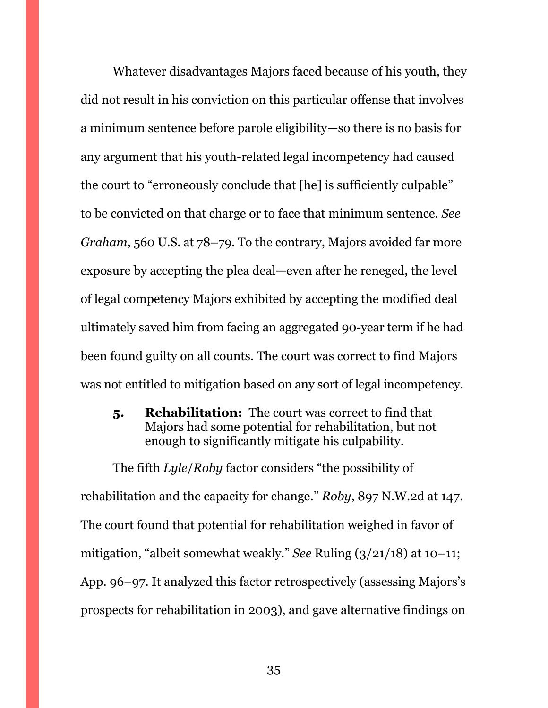Whatever disadvantages Majors faced because of his youth, they did not result in his conviction on this particular offense that involves a minimum sentence before parole eligibility—so there is no basis for any argument that his youth-related legal incompetency had caused the court to "erroneously conclude that [he] is sufficiently culpable" to be convicted on that charge or to face that minimum sentence. *See Graham*, 560 U.S. at 78–79. To the contrary, Majors avoided far more exposure by accepting the plea deal—even after he reneged, the level of legal competency Majors exhibited by accepting the modified deal ultimately saved him from facing an aggregated 90-year term if he had been found guilty on all counts. The court was correct to find Majors was not entitled to mitigation based on any sort of legal incompetency.

<span id="page-34-0"></span>**5. Rehabilitation:** The court was correct to find that Majors had some potential for rehabilitation, but not enough to significantly mitigate his culpability.

The fifth *Lyle*/*Roby* factor considers "the possibility of rehabilitation and the capacity for change." *Roby*, 897 N.W.2d at 147. The court found that potential for rehabilitation weighed in favor of mitigation, "albeit somewhat weakly." *See* Ruling (3/21/18) at 10–11; App. 96–97. It analyzed this factor retrospectively (assessing Majors's prospects for rehabilitation in 2003), and gave alternative findings on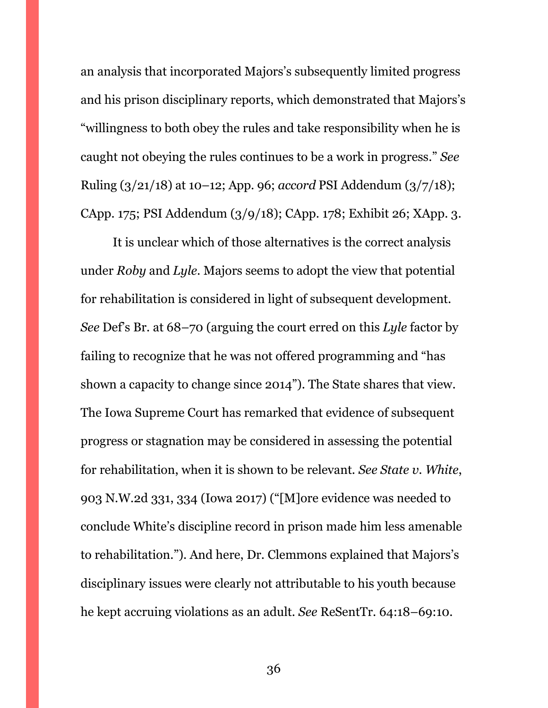an analysis that incorporated Majors's subsequently limited progress and his prison disciplinary reports, which demonstrated that Majors's "willingness to both obey the rules and take responsibility when he is caught not obeying the rules continues to be a work in progress." *See*  Ruling (3/21/18) at 10–12; App. 96; *accord* PSI Addendum (3/7/18); CApp. 175; PSI Addendum (3/9/18); CApp. 178; Exhibit 26; XApp. 3.

It is unclear which of those alternatives is the correct analysis under *Roby* and *Lyle*. Majors seems to adopt the view that potential for rehabilitation is considered in light of subsequent development. *See* Def's Br. at 68–70 (arguing the court erred on this *Lyle* factor by failing to recognize that he was not offered programming and "has shown a capacity to change since 2014"). The State shares that view. The Iowa Supreme Court has remarked that evidence of subsequent progress or stagnation may be considered in assessing the potential for rehabilitation, when it is shown to be relevant. *See State v. White*, 903 N.W.2d 331, 334 (Iowa 2017) ("[M]ore evidence was needed to conclude White's discipline record in prison made him less amenable to rehabilitation."). And here, Dr. Clemmons explained that Majors's disciplinary issues were clearly not attributable to his youth because he kept accruing violations as an adult. *See* ReSentTr. 64:18–69:10.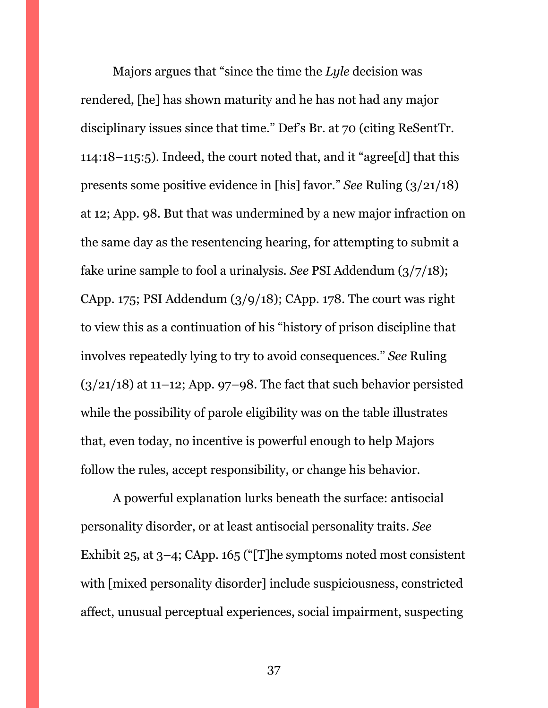Majors argues that "since the time the *Lyle* decision was rendered, [he] has shown maturity and he has not had any major disciplinary issues since that time." Def's Br. at 70 (citing ReSentTr. 114:18–115:5). Indeed, the court noted that, and it "agree[d] that this presents some positive evidence in [his] favor." *See* Ruling (3/21/18) at 12; App. 98. But that was undermined by a new major infraction on the same day as the resentencing hearing, for attempting to submit a fake urine sample to fool a urinalysis. *See* PSI Addendum (3/7/18); CApp. 175; PSI Addendum (3/9/18); CApp. 178. The court was right to view this as a continuation of his "history of prison discipline that involves repeatedly lying to try to avoid consequences." *See* Ruling  $(3/21/18)$  at 11–12; App. 97–98. The fact that such behavior persisted while the possibility of parole eligibility was on the table illustrates that, even today, no incentive is powerful enough to help Majors follow the rules, accept responsibility, or change his behavior.

A powerful explanation lurks beneath the surface: antisocial personality disorder, or at least antisocial personality traits. *See*  Exhibit 25, at 3–4; CApp. 165 ("[T]he symptoms noted most consistent with [mixed personality disorder] include suspiciousness, constricted affect, unusual perceptual experiences, social impairment, suspecting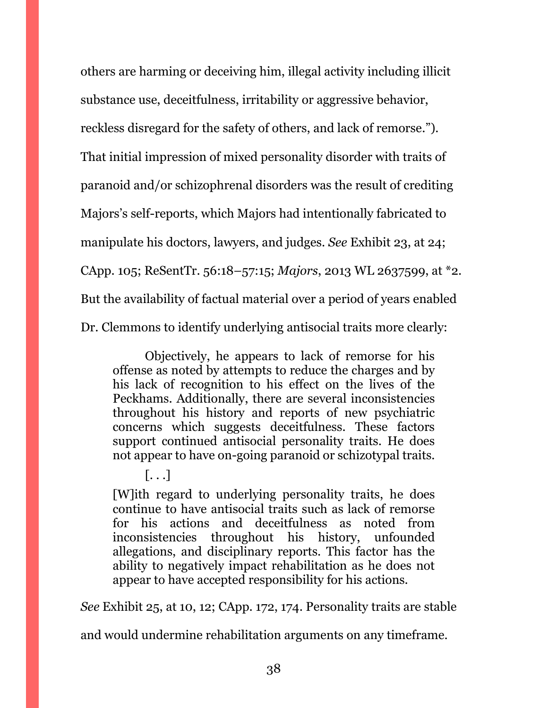others are harming or deceiving him, illegal activity including illicit substance use, deceitfulness, irritability or aggressive behavior, reckless disregard for the safety of others, and lack of remorse."). That initial impression of mixed personality disorder with traits of paranoid and/or schizophrenal disorders was the result of crediting Majors's self-reports, which Majors had intentionally fabricated to manipulate his doctors, lawyers, and judges. *See* Exhibit 23, at 24; CApp. 105; ReSentTr. 56:18–57:15; *Majors*, 2013 WL 2637599, at \*2. But the availability of factual material over a period of years enabled Dr. Clemmons to identify underlying antisocial traits more clearly:

Objectively, he appears to lack of remorse for his offense as noted by attempts to reduce the charges and by his lack of recognition to his effect on the lives of the Peckhams. Additionally, there are several inconsistencies throughout his history and reports of new psychiatric concerns which suggests deceitfulness. These factors support continued antisocial personality traits. He does not appear to have on-going paranoid or schizotypal traits.

[. . .] [W]ith regard to underlying personality traits, he does continue to have antisocial traits such as lack of remorse for his actions and deceitfulness as noted from inconsistencies throughout his history, unfounded allegations, and disciplinary reports. This factor has the ability to negatively impact rehabilitation as he does not appear to have accepted responsibility for his actions.

*See* Exhibit 25, at 10, 12; CApp. 172, 174. Personality traits are stable

and would undermine rehabilitation arguments on any timeframe.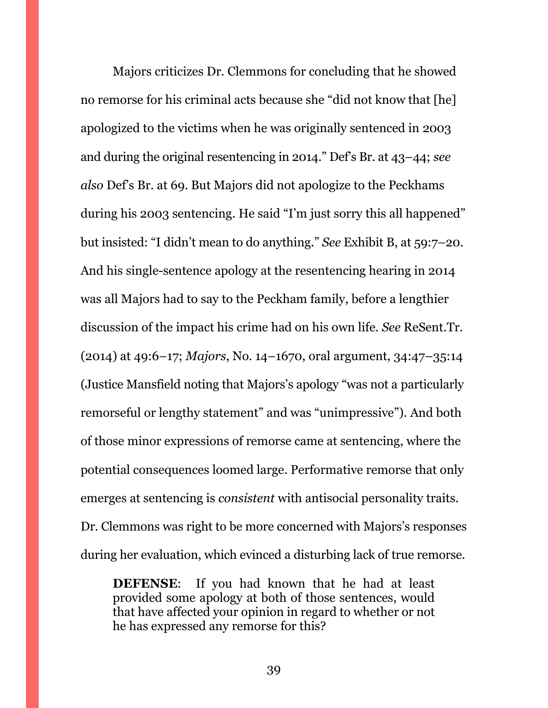Majors criticizes Dr. Clemmons for concluding that he showed no remorse for his criminal acts because she "did not know that [he] apologized to the victims when he was originally sentenced in 2003 and during the original resentencing in 2014." Def's Br. at 43–44; *see also* Def's Br. at 69. But Majors did not apologize to the Peckhams during his 2003 sentencing. He said "I'm just sorry this all happened" but insisted: "I didn't mean to do anything." *See* Exhibit B, at 59:7–20. And his single-sentence apology at the resentencing hearing in 2014 was all Majors had to say to the Peckham family, before a lengthier discussion of the impact his crime had on his own life. *See* ReSent.Tr. (2014) at 49:6–17; *Majors*, No. 14–1670, oral argument, 34:47–35:14 (Justice Mansfield noting that Majors's apology "was not a particularly remorseful or lengthy statement" and was "unimpressive"). And both of those minor expressions of remorse came at sentencing, where the potential consequences loomed large. Performative remorse that only emerges at sentencing is *consistent* with antisocial personality traits. Dr. Clemmons was right to be more concerned with Majors's responses during her evaluation, which evinced a disturbing lack of true remorse.

**DEFENSE**: If you had known that he had at least provided some apology at both of those sentences, would that have affected your opinion in regard to whether or not he has expressed any remorse for this?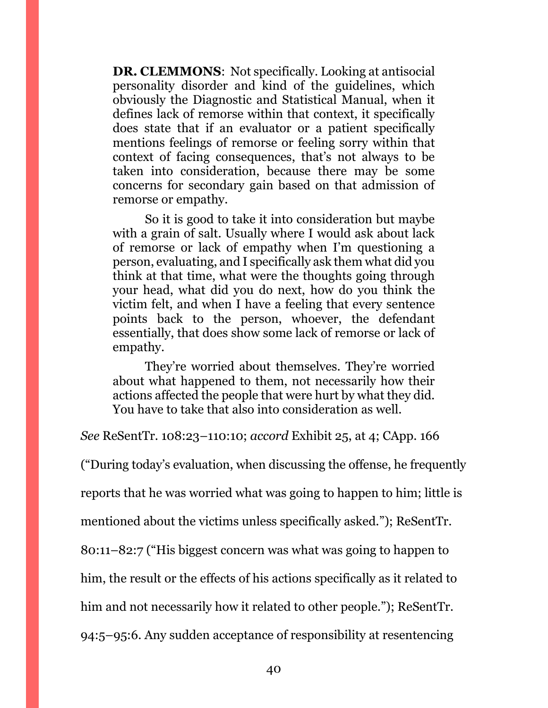**DR. CLEMMONS**: Not specifically. Looking at antisocial personality disorder and kind of the guidelines, which obviously the Diagnostic and Statistical Manual, when it defines lack of remorse within that context, it specifically does state that if an evaluator or a patient specifically mentions feelings of remorse or feeling sorry within that context of facing consequences, that's not always to be taken into consideration, because there may be some concerns for secondary gain based on that admission of remorse or empathy.

So it is good to take it into consideration but maybe with a grain of salt. Usually where I would ask about lack of remorse or lack of empathy when I'm questioning a person, evaluating, and I specifically ask them what did you think at that time, what were the thoughts going through your head, what did you do next, how do you think the victim felt, and when I have a feeling that every sentence points back to the person, whoever, the defendant essentially, that does show some lack of remorse or lack of empathy.

They're worried about themselves. They're worried about what happened to them, not necessarily how their actions affected the people that were hurt by what they did. You have to take that also into consideration as well.

*See* ReSentTr. 108:23–110:10; *accord* Exhibit 25, at 4; CApp. 166

("During today's evaluation, when discussing the offense, he frequently

reports that he was worried what was going to happen to him; little is

mentioned about the victims unless specifically asked."); ReSentTr.

80:11–82:7 ("His biggest concern was what was going to happen to

him, the result or the effects of his actions specifically as it related to

him and not necessarily how it related to other people."); ReSentTr.

94:5–95:6. Any sudden acceptance of responsibility at resentencing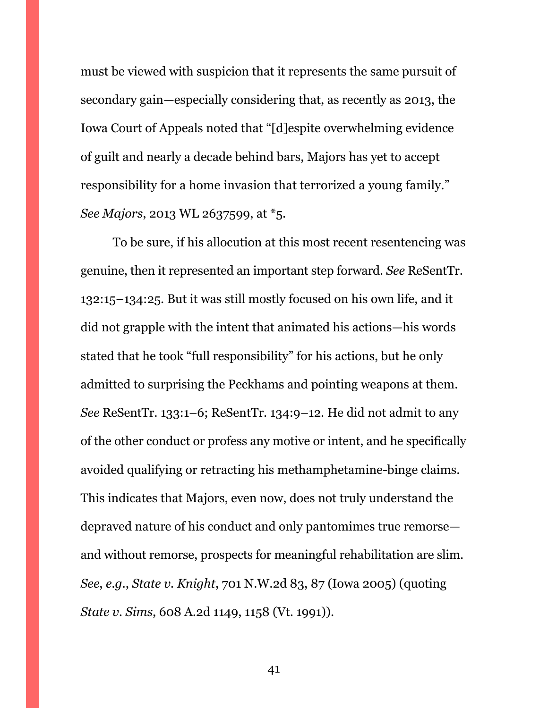must be viewed with suspicion that it represents the same pursuit of secondary gain—especially considering that, as recently as 2013, the Iowa Court of Appeals noted that "[d]espite overwhelming evidence of guilt and nearly a decade behind bars, Majors has yet to accept responsibility for a home invasion that terrorized a young family." *See Majors*, 2013 WL 2637599, at \*5.

To be sure, if his allocution at this most recent resentencing was genuine, then it represented an important step forward. *See* ReSentTr. 132:15–134:25. But it was still mostly focused on his own life, and it did not grapple with the intent that animated his actions—his words stated that he took "full responsibility" for his actions, but he only admitted to surprising the Peckhams and pointing weapons at them. *See* ReSentTr. 133:1–6; ReSentTr. 134:9–12. He did not admit to any of the other conduct or profess any motive or intent, and he specifically avoided qualifying or retracting his methamphetamine-binge claims. This indicates that Majors, even now, does not truly understand the depraved nature of his conduct and only pantomimes true remorse and without remorse, prospects for meaningful rehabilitation are slim. *See*, *e.g.*, *State v. Knight*, 701 N.W.2d 83, 87 (Iowa 2005) (quoting *State v. Sims*, 608 A.2d 1149, 1158 (Vt. 1991)).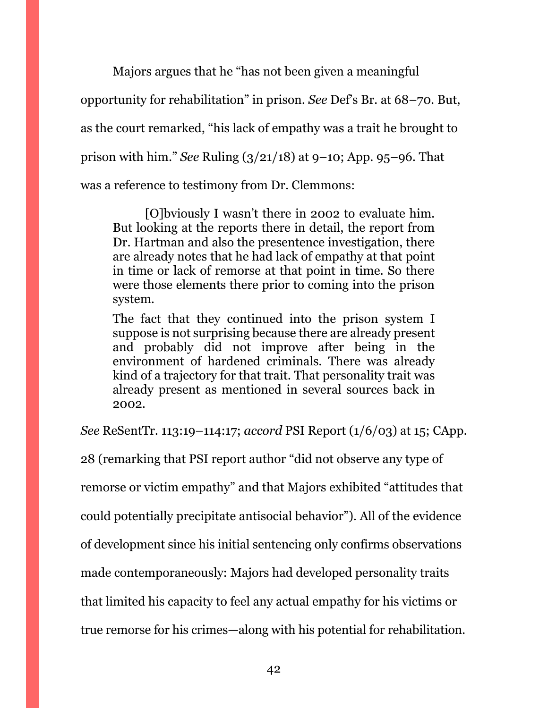Majors argues that he "has not been given a meaningful

opportunity for rehabilitation" in prison. *See* Def's Br. at 68–70. But,

as the court remarked, "his lack of empathy was a trait he brought to

prison with him." *See* Ruling (3/21/18) at 9–10; App. 95–96. That

was a reference to testimony from Dr. Clemmons:

[O]bviously I wasn't there in 2002 to evaluate him. But looking at the reports there in detail, the report from Dr. Hartman and also the presentence investigation, there are already notes that he had lack of empathy at that point in time or lack of remorse at that point in time. So there were those elements there prior to coming into the prison system.

The fact that they continued into the prison system I suppose is not surprising because there are already present and probably did not improve after being in the environment of hardened criminals. There was already kind of a trajectory for that trait. That personality trait was already present as mentioned in several sources back in 2002.

*See* ReSentTr. 113:19–114:17; *accord* PSI Report (1/6/03) at 15; CApp.

28 (remarking that PSI report author "did not observe any type of

remorse or victim empathy" and that Majors exhibited "attitudes that

could potentially precipitate antisocial behavior"). All of the evidence

of development since his initial sentencing only confirms observations

made contemporaneously: Majors had developed personality traits

that limited his capacity to feel any actual empathy for his victims or

true remorse for his crimes—along with his potential for rehabilitation.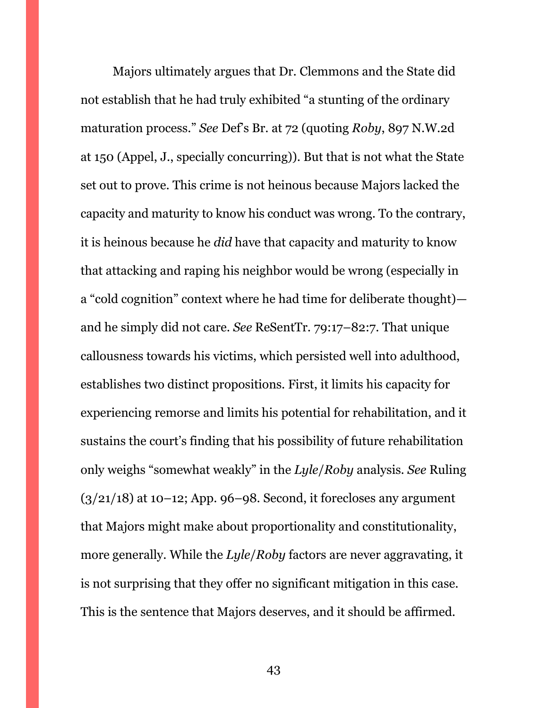Majors ultimately argues that Dr. Clemmons and the State did not establish that he had truly exhibited "a stunting of the ordinary maturation process." *See* Def's Br. at 72 (quoting *Roby*, 897 N.W.2d at 150 (Appel, J., specially concurring)). But that is not what the State set out to prove. This crime is not heinous because Majors lacked the capacity and maturity to know his conduct was wrong. To the contrary, it is heinous because he *did* have that capacity and maturity to know that attacking and raping his neighbor would be wrong (especially in a "cold cognition" context where he had time for deliberate thought) and he simply did not care. *See* ReSentTr. 79:17–82:7. That unique callousness towards his victims, which persisted well into adulthood, establishes two distinct propositions. First, it limits his capacity for experiencing remorse and limits his potential for rehabilitation, and it sustains the court's finding that his possibility of future rehabilitation only weighs "somewhat weakly" in the *Lyle*/*Roby* analysis. *See* Ruling  $(3/21/18)$  at 10–12; App. 96–98. Second, it forecloses any argument that Majors might make about proportionality and constitutionality, more generally. While the *Lyle*/*Roby* factors are never aggravating, it is not surprising that they offer no significant mitigation in this case. This is the sentence that Majors deserves, and it should be affirmed.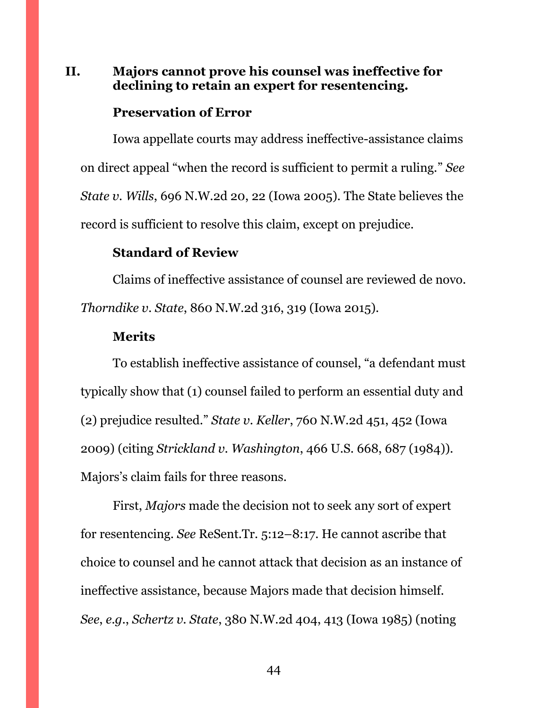#### <span id="page-43-0"></span>**II. Majors cannot prove his counsel was ineffective for declining to retain an expert for resentencing.**

#### **Preservation of Error**

Iowa appellate courts may address ineffective-assistance claims on direct appeal "when the record is sufficient to permit a ruling." *See State v. Wills*, 696 N.W.2d 20, 22 (Iowa 2005). The State believes the record is sufficient to resolve this claim, except on prejudice.

#### **Standard of Review**

Claims of ineffective assistance of counsel are reviewed de novo. *Thorndike v. State*, 860 N.W.2d 316, 319 (Iowa 2015).

#### **Merits**

To establish ineffective assistance of counsel, "a defendant must typically show that (1) counsel failed to perform an essential duty and (2) prejudice resulted." *State v. Keller*, 760 N.W.2d 451, 452 (Iowa 2009) (citing *Strickland v. Washington*, 466 U.S. 668, 687 (1984)). Majors's claim fails for three reasons.

First, *Majors* made the decision not to seek any sort of expert for resentencing. *See* ReSent.Tr. 5:12–8:17. He cannot ascribe that choice to counsel and he cannot attack that decision as an instance of ineffective assistance, because Majors made that decision himself. *See*, *e.g.*, *Schertz v. State*, 380 N.W.2d 404, 413 (Iowa 1985) (noting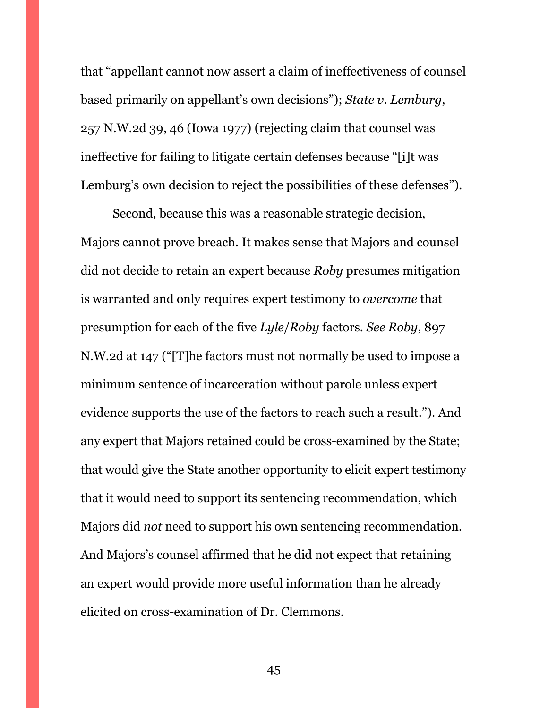that "appellant cannot now assert a claim of ineffectiveness of counsel based primarily on appellant's own decisions"); *State v. Lemburg*, 257 N.W.2d 39, 46 (Iowa 1977) (rejecting claim that counsel was ineffective for failing to litigate certain defenses because "[i]t was Lemburg's own decision to reject the possibilities of these defenses").

Second, because this was a reasonable strategic decision, Majors cannot prove breach. It makes sense that Majors and counsel did not decide to retain an expert because *Roby* presumes mitigation is warranted and only requires expert testimony to *overcome* that presumption for each of the five *Lyle*/*Roby* factors. *See Roby*, 897 N.W.2d at 147 ("[T]he factors must not normally be used to impose a minimum sentence of incarceration without parole unless expert evidence supports the use of the factors to reach such a result."). And any expert that Majors retained could be cross-examined by the State; that would give the State another opportunity to elicit expert testimony that it would need to support its sentencing recommendation, which Majors did *not* need to support his own sentencing recommendation. And Majors's counsel affirmed that he did not expect that retaining an expert would provide more useful information than he already elicited on cross-examination of Dr. Clemmons.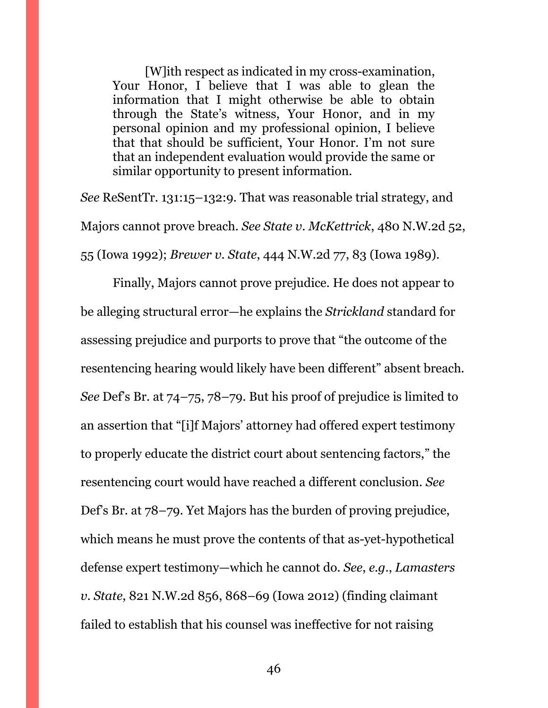[W]ith respect as indicated in my cross-examination, Your Honor, I believe that I was able to glean the information that I might otherwise be able to obtain through the State's witness, Your Honor, and in my personal opinion and my professional opinion, I believe that that should be sufficient, Your Honor. I'm not sure that an independent evaluation would provide the same or similar opportunity to present information.

*See* ReSentTr. 131:15–132:9. That was reasonable trial strategy, and Majors cannot prove breach. *See State v. McKettrick*, 480 N.W.2d 52, 55 (Iowa 1992); *Brewer v. State*, 444 N.W.2d 77, 83 (Iowa 1989).

Finally, Majors cannot prove prejudice. He does not appear to be alleging structural error—he explains the *Strickland* standard for assessing prejudice and purports to prove that "the outcome of the resentencing hearing would likely have been different" absent breach. *See* Def's Br. at 74–75, 78–79. But his proof of prejudice is limited to an assertion that "[i]f Majors' attorney had offered expert testimony to properly educate the district court about sentencing factors," the resentencing court would have reached a different conclusion. *See*  Def's Br. at 78–79. Yet Majors has the burden of proving prejudice, which means he must prove the contents of that as-yet-hypothetical defense expert testimony—which he cannot do. *See*, *e.g.*, *Lamasters v. State*, 821 N.W.2d 856, 868–69 (Iowa 2012) (finding claimant failed to establish that his counsel was ineffective for not raising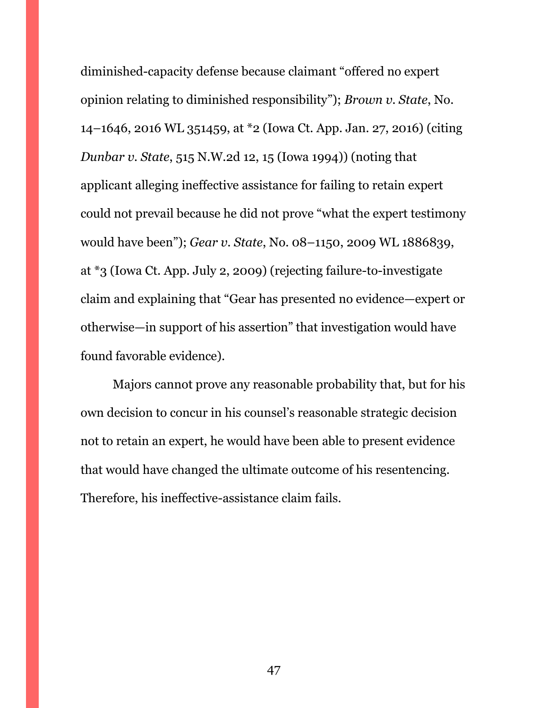diminished-capacity defense because claimant "offered no expert opinion relating to diminished responsibility"); *Brown v. State*, No. 14–1646, 2016 WL 351459, at \*2 (Iowa Ct. App. Jan. 27, 2016) (citing *Dunbar v. State*, 515 N.W.2d 12, 15 (Iowa 1994)) (noting that applicant alleging ineffective assistance for failing to retain expert could not prevail because he did not prove "what the expert testimony would have been"); *Gear v. State*, No. 08–1150, 2009 WL 1886839, at \*3 (Iowa Ct. App. July 2, 2009) (rejecting failure-to-investigate claim and explaining that "Gear has presented no evidence—expert or otherwise—in support of his assertion" that investigation would have found favorable evidence).

<span id="page-46-0"></span>Majors cannot prove any reasonable probability that, but for his own decision to concur in his counsel's reasonable strategic decision not to retain an expert, he would have been able to present evidence that would have changed the ultimate outcome of his resentencing. Therefore, his ineffective-assistance claim fails.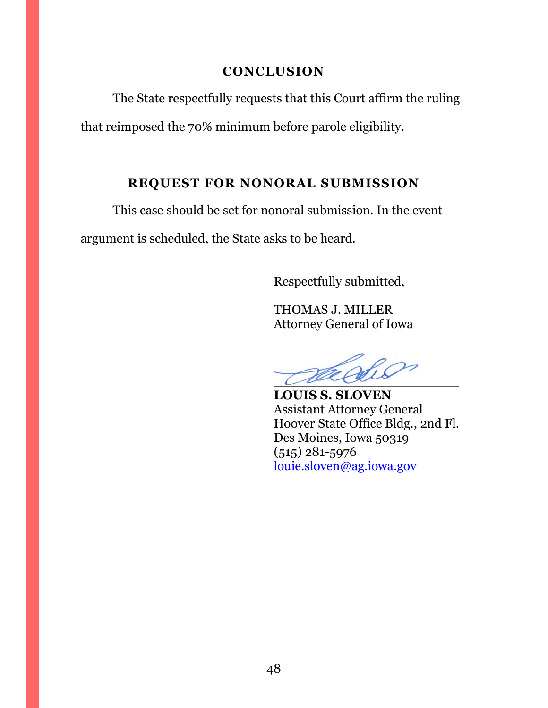## **CONCLUSION**

The State respectfully requests that this Court affirm the ruling that reimposed the 70% minimum before parole eligibility.

# **REQUEST FOR NONORAL SUBMISSION**

<span id="page-47-0"></span>This case should be set for nonoral submission. In the event

argument is scheduled, the State asks to be heard.

Respectfully submitted,

THOMAS J. MILLER Attorney General of Iowa

 $\angle$  decease

**LOUIS S. SLOVEN** Assistant Attorney General Hoover State Office Bldg., 2nd Fl. Des Moines, Iowa 50319 (515) 281-5976 [louie.sloven@ag.iowa.gov](mailto:louie.sloven@ag.iowa.gov)